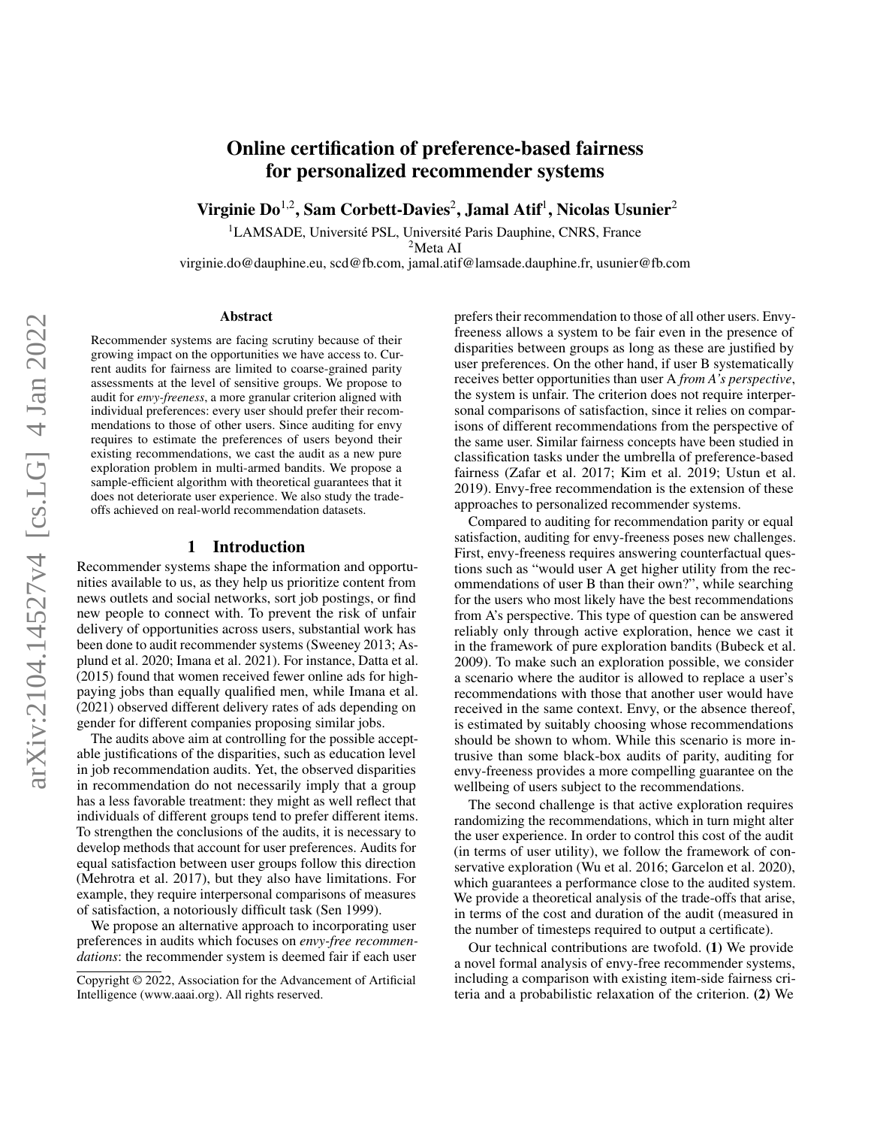# Online certification of preference-based fairness for personalized recommender systems

Virginie Do<sup>1,2</sup>, Sam Corbett-Davies<sup>2</sup>, Jamal Atif<sup>1</sup>, Nicolas Usunier<sup>2</sup>

<sup>1</sup>LAMSADE, Université PSL, Université Paris Dauphine, CNRS, France <sup>2</sup>Meta AI

virginie.do@dauphine.eu, scd@fb.com, jamal.atif@lamsade.dauphine.fr, usunier@fb.com

#### Abstract

Recommender systems are facing scrutiny because of their growing impact on the opportunities we have access to. Current audits for fairness are limited to coarse-grained parity assessments at the level of sensitive groups. We propose to audit for *envy-freeness*, a more granular criterion aligned with individual preferences: every user should prefer their recommendations to those of other users. Since auditing for envy requires to estimate the preferences of users beyond their existing recommendations, we cast the audit as a new pure exploration problem in multi-armed bandits. We propose a sample-efficient algorithm with theoretical guarantees that it does not deteriorate user experience. We also study the tradeoffs achieved on real-world recommendation datasets.

#### 1 Introduction

Recommender systems shape the information and opportunities available to us, as they help us prioritize content from news outlets and social networks, sort job postings, or find new people to connect with. To prevent the risk of unfair delivery of opportunities across users, substantial work has been done to audit recommender systems (Sweeney 2013; Asplund et al. 2020; Imana et al. 2021). For instance, Datta et al. (2015) found that women received fewer online ads for highpaying jobs than equally qualified men, while Imana et al. (2021) observed different delivery rates of ads depending on gender for different companies proposing similar jobs.

The audits above aim at controlling for the possible acceptable justifications of the disparities, such as education level in job recommendation audits. Yet, the observed disparities in recommendation do not necessarily imply that a group has a less favorable treatment: they might as well reflect that individuals of different groups tend to prefer different items. To strengthen the conclusions of the audits, it is necessary to develop methods that account for user preferences. Audits for equal satisfaction between user groups follow this direction (Mehrotra et al. 2017), but they also have limitations. For example, they require interpersonal comparisons of measures of satisfaction, a notoriously difficult task (Sen 1999).

We propose an alternative approach to incorporating user preferences in audits which focuses on *envy-free recommendations*: the recommender system is deemed fair if each user

prefers their recommendation to those of all other users. Envyfreeness allows a system to be fair even in the presence of disparities between groups as long as these are justified by user preferences. On the other hand, if user B systematically receives better opportunities than user A *from A's perspective*, the system is unfair. The criterion does not require interpersonal comparisons of satisfaction, since it relies on comparisons of different recommendations from the perspective of the same user. Similar fairness concepts have been studied in classification tasks under the umbrella of preference-based fairness (Zafar et al. 2017; Kim et al. 2019; Ustun et al. 2019). Envy-free recommendation is the extension of these approaches to personalized recommender systems.

Compared to auditing for recommendation parity or equal satisfaction, auditing for envy-freeness poses new challenges. First, envy-freeness requires answering counterfactual questions such as "would user A get higher utility from the recommendations of user B than their own?", while searching for the users who most likely have the best recommendations from A's perspective. This type of question can be answered reliably only through active exploration, hence we cast it in the framework of pure exploration bandits (Bubeck et al. 2009). To make such an exploration possible, we consider a scenario where the auditor is allowed to replace a user's recommendations with those that another user would have received in the same context. Envy, or the absence thereof, is estimated by suitably choosing whose recommendations should be shown to whom. While this scenario is more intrusive than some black-box audits of parity, auditing for envy-freeness provides a more compelling guarantee on the wellbeing of users subject to the recommendations.

The second challenge is that active exploration requires randomizing the recommendations, which in turn might alter the user experience. In order to control this cost of the audit (in terms of user utility), we follow the framework of conservative exploration (Wu et al. 2016; Garcelon et al. 2020), which guarantees a performance close to the audited system. We provide a theoretical analysis of the trade-offs that arise, in terms of the cost and duration of the audit (measured in the number of timesteps required to output a certificate).

Our technical contributions are twofold. (1) We provide a novel formal analysis of envy-free recommender systems, including a comparison with existing item-side fairness criteria and a probabilistic relaxation of the criterion. (2) We

Copyright © 2022, Association for the Advancement of Artificial Intelligence (www.aaai.org). All rights reserved.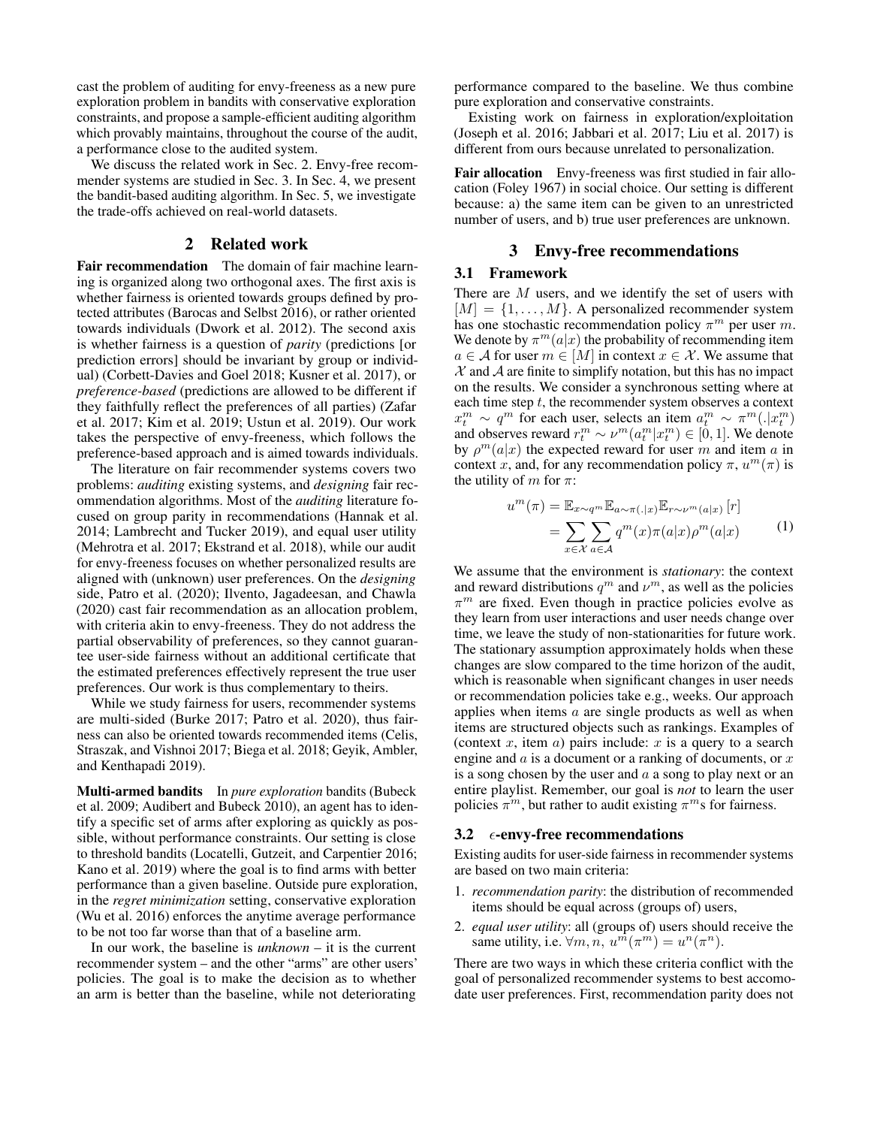cast the problem of auditing for envy-freeness as a new pure exploration problem in bandits with conservative exploration constraints, and propose a sample-efficient auditing algorithm which provably maintains, throughout the course of the audit, a performance close to the audited system.

We discuss the related work in Sec. 2. Envy-free recommender systems are studied in Sec. 3. In Sec. 4, we present the bandit-based auditing algorithm. In Sec. 5, we investigate the trade-offs achieved on real-world datasets.

#### 2 Related work

Fair recommendation The domain of fair machine learning is organized along two orthogonal axes. The first axis is whether fairness is oriented towards groups defined by protected attributes (Barocas and Selbst 2016), or rather oriented towards individuals (Dwork et al. 2012). The second axis is whether fairness is a question of *parity* (predictions [or prediction errors] should be invariant by group or individual) (Corbett-Davies and Goel 2018; Kusner et al. 2017), or *preference-based* (predictions are allowed to be different if they faithfully reflect the preferences of all parties) (Zafar et al. 2017; Kim et al. 2019; Ustun et al. 2019). Our work takes the perspective of envy-freeness, which follows the preference-based approach and is aimed towards individuals.

The literature on fair recommender systems covers two problems: *auditing* existing systems, and *designing* fair recommendation algorithms. Most of the *auditing* literature focused on group parity in recommendations (Hannak et al. 2014; Lambrecht and Tucker 2019), and equal user utility (Mehrotra et al. 2017; Ekstrand et al. 2018), while our audit for envy-freeness focuses on whether personalized results are aligned with (unknown) user preferences. On the *designing* side, Patro et al. (2020); Ilvento, Jagadeesan, and Chawla (2020) cast fair recommendation as an allocation problem, with criteria akin to envy-freeness. They do not address the partial observability of preferences, so they cannot guarantee user-side fairness without an additional certificate that the estimated preferences effectively represent the true user preferences. Our work is thus complementary to theirs.

While we study fairness for users, recommender systems are multi-sided (Burke 2017; Patro et al. 2020), thus fairness can also be oriented towards recommended items (Celis, Straszak, and Vishnoi 2017; Biega et al. 2018; Geyik, Ambler, and Kenthapadi 2019).

Multi-armed bandits In *pure exploration* bandits (Bubeck et al. 2009; Audibert and Bubeck 2010), an agent has to identify a specific set of arms after exploring as quickly as possible, without performance constraints. Our setting is close to threshold bandits (Locatelli, Gutzeit, and Carpentier 2016; Kano et al. 2019) where the goal is to find arms with better performance than a given baseline. Outside pure exploration, in the *regret minimization* setting, conservative exploration (Wu et al. 2016) enforces the anytime average performance to be not too far worse than that of a baseline arm.

In our work, the baseline is *unknown* – it is the current recommender system – and the other "arms" are other users' policies. The goal is to make the decision as to whether an arm is better than the baseline, while not deteriorating

performance compared to the baseline. We thus combine pure exploration and conservative constraints.

Existing work on fairness in exploration/exploitation (Joseph et al. 2016; Jabbari et al. 2017; Liu et al. 2017) is different from ours because unrelated to personalization.

Fair allocation Envy-freeness was first studied in fair allocation (Foley 1967) in social choice. Our setting is different because: a) the same item can be given to an unrestricted number of users, and b) true user preferences are unknown.

### 3 Envy-free recommendations

### 3.1 Framework

There are M users, and we identify the set of users with  $[M] = \{1, \ldots, M\}$ . A personalized recommender system has one stochastic recommendation policy  $\pi^m$  per user m. We denote by  $\pi^m(a|x)$  the probability of recommending item  $a \in \mathcal{A}$  for user  $m \in [M]$  in context  $x \in \mathcal{X}$ . We assume that  $\mathcal X$  and  $\mathcal A$  are finite to simplify notation, but this has no impact on the results. We consider a synchronous setting where at each time step  $t$ , the recommender system observes a context  $x_t^m \sim q^m$  for each user, selects an item  $a_t^m \sim \pi^m(.|x_t^m)$ and observes reward  $r_t^m \sim \nu^m(a_t^m|x_t^m) \in [0,1]$ . We denote by  $\rho^m(a|x)$  the expected reward for user m and item a in context x, and, for any recommendation policy  $\pi$ ,  $u^m(\pi)$  is the utility of m for  $\pi$ :

$$
u^{m}(\pi) = \mathbb{E}_{x \sim q^{m}} \mathbb{E}_{a \sim \pi(.|x)} \mathbb{E}_{r \sim \nu^{m}(a|x)} [r]
$$
  
= 
$$
\sum_{x \in \mathcal{X}} \sum_{a \in \mathcal{A}} q^{m}(x) \pi(a|x) \rho^{m}(a|x)
$$
 (1)

We assume that the environment is *stationary*: the context and reward distributions  $q^m$  and  $\nu^m$ , as well as the policies  $\pi^m$  are fixed. Even though in practice policies evolve as they learn from user interactions and user needs change over time, we leave the study of non-stationarities for future work. The stationary assumption approximately holds when these changes are slow compared to the time horizon of the audit, which is reasonable when significant changes in user needs or recommendation policies take e.g., weeks. Our approach applies when items  $a$  are single products as well as when items are structured objects such as rankings. Examples of (context  $x$ , item  $a$ ) pairs include:  $x$  is a query to a search engine and  $\alpha$  is a document or a ranking of documents, or  $x$ is a song chosen by the user and  $a$  a song to play next or an entire playlist. Remember, our goal is *not* to learn the user policies  $\pi^m$ , but rather to audit existing  $\pi^m$ s for fairness.

#### 3.2  $\epsilon$ -envy-free recommendations

Existing audits for user-side fairness in recommender systems are based on two main criteria:

- 1. *recommendation parity*: the distribution of recommended items should be equal across (groups of) users,
- 2. *equal user utility*: all (groups of) users should receive the same utility, i.e.  $\forall m, n, u^m(\pi^m) = u^n(\pi^n)$ .

There are two ways in which these criteria conflict with the goal of personalized recommender systems to best accomodate user preferences. First, recommendation parity does not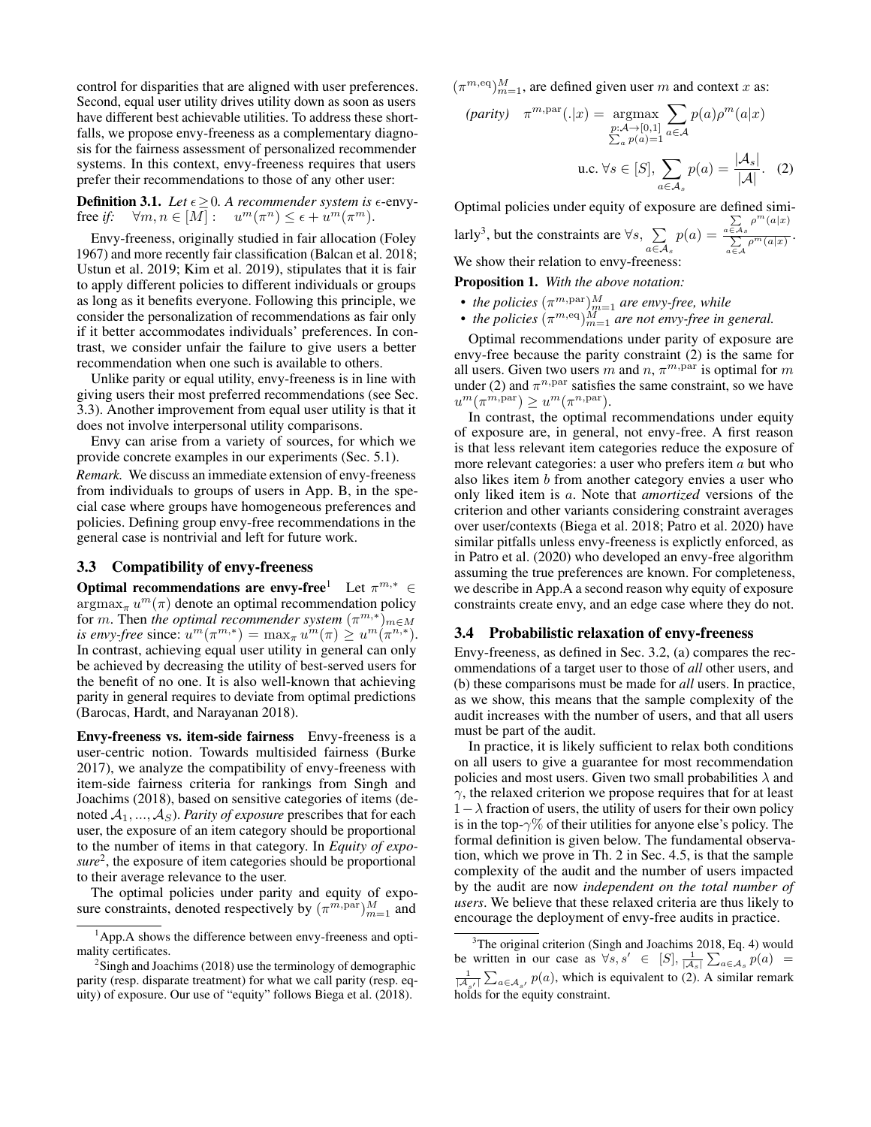control for disparities that are aligned with user preferences. Second, equal user utility drives utility down as soon as users have different best achievable utilities. To address these shortfalls, we propose envy-freeness as a complementary diagnosis for the fairness assessment of personalized recommender systems. In this context, envy-freeness requires that users prefer their recommendations to those of any other user:

**Definition 3.1.** *Let*  $\epsilon \geq 0$ *. A recommender system is*  $\epsilon$ -envyfree *if*:  $\forall m, n \in [M]: \quad u^m(\pi^n) \leq \epsilon + u^m(\pi^m)$ .

Envy-freeness, originally studied in fair allocation (Foley 1967) and more recently fair classification (Balcan et al. 2018; Ustun et al. 2019; Kim et al. 2019), stipulates that it is fair to apply different policies to different individuals or groups as long as it benefits everyone. Following this principle, we consider the personalization of recommendations as fair only if it better accommodates individuals' preferences. In contrast, we consider unfair the failure to give users a better recommendation when one such is available to others.

Unlike parity or equal utility, envy-freeness is in line with giving users their most preferred recommendations (see Sec. 3.3). Another improvement from equal user utility is that it does not involve interpersonal utility comparisons.

Envy can arise from a variety of sources, for which we provide concrete examples in our experiments (Sec. 5.1). *Remark.* We discuss an immediate extension of envy-freeness from individuals to groups of users in App. B, in the special case where groups have homogeneous preferences and policies. Defining group envy-free recommendations in the general case is nontrivial and left for future work.

#### 3.3 Compatibility of envy-freeness

Optimal recommendations are envy-free<sup>1</sup> Let  $\pi^{m,*} \in$  $\mathop{\mathrm{argmax}}_{\pi} u^m(\pi)$  denote an optimal recommendation policy for m. Then the optimal recommender system  $(\pi^{m,*})_{m \in M}$ *is envy-free* since:  $u^m(\pi^{m,*}) = \max_{\pi} u^m(\pi) \geq u^m(\pi^{n,*}).$ In contrast, achieving equal user utility in general can only be achieved by decreasing the utility of best-served users for the benefit of no one. It is also well-known that achieving parity in general requires to deviate from optimal predictions (Barocas, Hardt, and Narayanan 2018).

Envy-freeness vs. item-side fairness Envy-freeness is a user-centric notion. Towards multisided fairness (Burke 2017), we analyze the compatibility of envy-freeness with item-side fairness criteria for rankings from Singh and Joachims (2018), based on sensitive categories of items (denoted  $A_1, ..., A_S$ ). *Parity of exposure* prescribes that for each user, the exposure of an item category should be proportional to the number of items in that category. In *Equity of exposure*<sup>2</sup> , the exposure of item categories should be proportional to their average relevance to the user.

The optimal policies under parity and equity of exposure constraints, denoted respectively by  $(\pi^{m,\text{par}})^M_{m=1}$  and

 $(\pi^{m, \text{eq}})_{m=1}^{M}$ , are defined given user m and context x as:

$$
(parity) \quad \pi^{m, par}(.|x) = \underset{\sum_a p(a) = 1}{\operatorname{argmax}} \sum_{a \in \mathcal{A}} p(a) \rho^m(a|x)
$$
\n
$$
\sum_{a} p(a) = 1}^{\operatorname{max}} a \in \mathcal{A}
$$
\n
$$
\text{u.c. } \forall s \in [S], \sum_{a \in \mathcal{A}_s} p(a) = \frac{|\mathcal{A}_s|}{|\mathcal{A}|}. \quad (2)
$$

Optimal policies under equity of exposure are defined similarly<sup>3</sup>, but the constraints are  $\forall s, \sum$  $a \in \mathcal{A}_s$  $p(a) =$  $\sum_{a \in \mathcal{A}_s} \rho^m(a|x)$  $\frac{\sum\limits_{a \in A} \rho^m(a|x)}{\sum\limits_{a \in A} \rho^m(a|x)}.$ We show their relation to envy-freeness:

Proposition 1. *With the above notation:*

- *the policies*  $(\pi^{m, \text{par}})_{m=1}^M$  are envy-free, while
- *the policies*  $(\pi^{m,eq})_{m=1}^M$  *are not envy-free in general.*

Optimal recommendations under parity of exposure are envy-free because the parity constraint (2) is the same for all users. Given two users m and  $n, \pi^{m, \text{par}}$  is optimal for m under (2) and  $\pi^{n,par}$  satisfies the same constraint, so we have  $u^m(\pi^{m,\text{par}}) \geq u^m(\pi^{n,\text{par}}).$ 

In contrast, the optimal recommendations under equity of exposure are, in general, not envy-free. A first reason is that less relevant item categories reduce the exposure of more relevant categories: a user who prefers item a but who also likes item b from another category envies a user who only liked item is a. Note that *amortized* versions of the criterion and other variants considering constraint averages over user/contexts (Biega et al. 2018; Patro et al. 2020) have similar pitfalls unless envy-freeness is explictly enforced, as in Patro et al. (2020) who developed an envy-free algorithm assuming the true preferences are known. For completeness, we describe in App.A a second reason why equity of exposure constraints create envy, and an edge case where they do not.

### 3.4 Probabilistic relaxation of envy-freeness

Envy-freeness, as defined in Sec. 3.2, (a) compares the recommendations of a target user to those of *all* other users, and (b) these comparisons must be made for *all* users. In practice, as we show, this means that the sample complexity of the audit increases with the number of users, and that all users must be part of the audit.

In practice, it is likely sufficient to relax both conditions on all users to give a guarantee for most recommendation policies and most users. Given two small probabilities  $\lambda$  and  $\gamma$ , the relaxed criterion we propose requires that for at least  $1-\lambda$  fraction of users, the utility of users for their own policy is in the top- $\gamma\%$  of their utilities for anyone else's policy. The formal definition is given below. The fundamental observation, which we prove in Th. 2 in Sec. 4.5, is that the sample complexity of the audit and the number of users impacted by the audit are now *independent on the total number of users*. We believe that these relaxed criteria are thus likely to encourage the deployment of envy-free audits in practice.

<sup>1</sup>App.A shows the difference between envy-freeness and optimality certificates.

 $2$ Singh and Joachims (2018) use the terminology of demographic parity (resp. disparate treatment) for what we call parity (resp. equity) of exposure. Our use of "equity" follows Biega et al. (2018).

 $3$ The original criterion (Singh and Joachims 2018, Eq. 4) would be written in our case as  $\forall s, s' \in [S], \frac{1}{|A_s|} \sum_{a \in A_s} p(a) =$  $\frac{1}{|A_{s'}|} \sum_{a \in A_{s'}} p(a)$ , which is equivalent to (2). A similar remark holds for the equity constraint.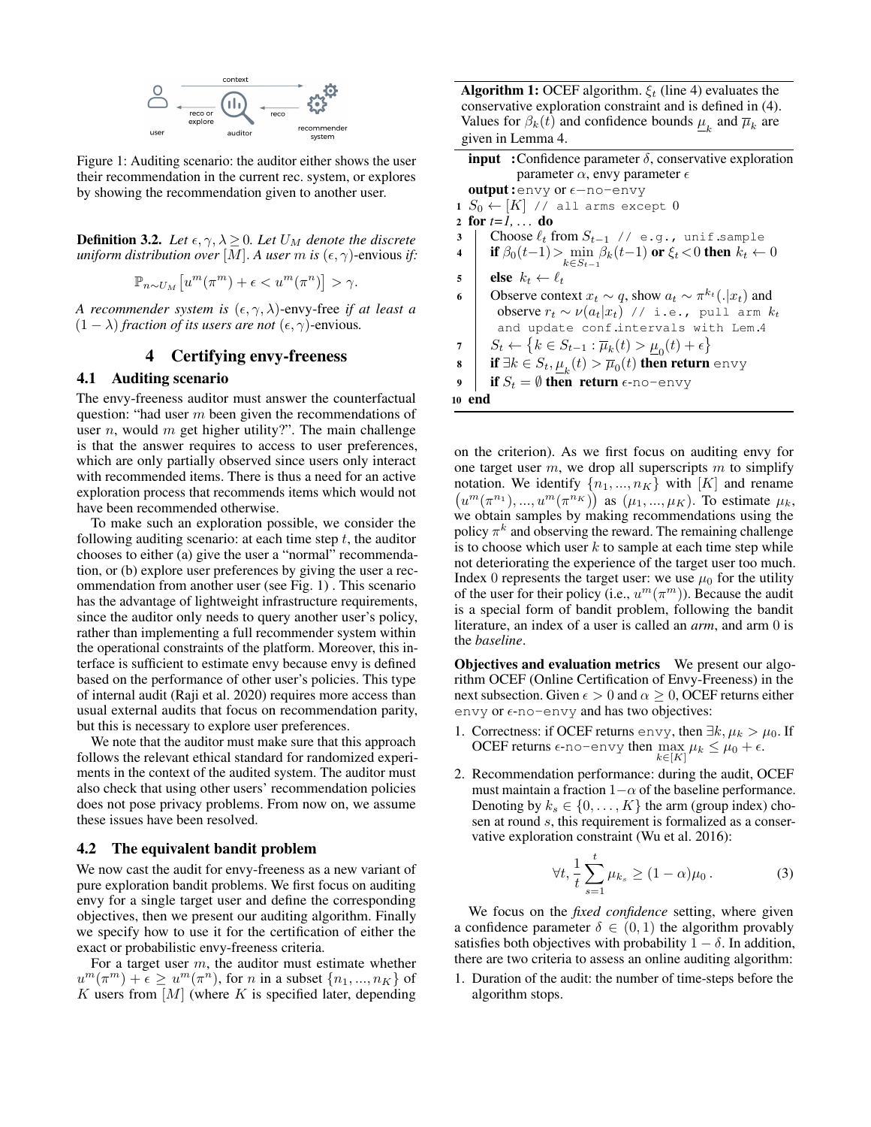

Figure 1: Auditing scenario: the auditor either shows the user their recommendation in the current rec. system, or explores by showing the recommendation given to another user.

**Definition 3.2.** Let  $\epsilon, \gamma, \lambda \geq 0$ . Let  $U_M$  denote the discrete *uniform distribution over* [M]. A user m *is*  $(\epsilon, \gamma)$ -envious *if*:

$$
\mathbb{P}_{n \sim U_M} \left[ u^m(\pi^m) + \epsilon < u^m(\pi^n) \right] > \gamma.
$$

*A recommender system is*  $(\epsilon, \gamma, \lambda)$ -envy-free *if at least a*  $(1 - \lambda)$  *fraction of its users are not*  $(\epsilon, \gamma)$ -envious.

# 4 Certifying envy-freeness

# 4.1 Auditing scenario

The envy-freeness auditor must answer the counterfactual question: "had user  $m$  been given the recommendations of user  $n$ , would  $m$  get higher utility?". The main challenge is that the answer requires to access to user preferences, which are only partially observed since users only interact with recommended items. There is thus a need for an active exploration process that recommends items which would not have been recommended otherwise.

To make such an exploration possible, we consider the following auditing scenario: at each time step  $t$ , the auditor chooses to either (a) give the user a "normal" recommendation, or (b) explore user preferences by giving the user a recommendation from another user (see Fig. 1) . This scenario has the advantage of lightweight infrastructure requirements, since the auditor only needs to query another user's policy, rather than implementing a full recommender system within the operational constraints of the platform. Moreover, this interface is sufficient to estimate envy because envy is defined based on the performance of other user's policies. This type of internal audit (Raji et al. 2020) requires more access than usual external audits that focus on recommendation parity, but this is necessary to explore user preferences.

We note that the auditor must make sure that this approach follows the relevant ethical standard for randomized experiments in the context of the audited system. The auditor must also check that using other users' recommendation policies does not pose privacy problems. From now on, we assume these issues have been resolved.

#### 4.2 The equivalent bandit problem

We now cast the audit for envy-freeness as a new variant of pure exploration bandit problems. We first focus on auditing envy for a single target user and define the corresponding objectives, then we present our auditing algorithm. Finally we specify how to use it for the certification of either the exact or probabilistic envy-freeness criteria.

For a target user  $m$ , the auditor must estimate whether  $u^m(\pi^m) + \epsilon \geq u^m(\pi^n)$ , for *n* in a subset  $\{n_1, ..., n_K\}$  of K users from  $[M]$  (where K is specified later, depending

**Algorithm 1:** OCEF algorithm.  $\xi_t$  (line 4) evaluates the conservative exploration constraint and is defined in (4). Values for  $\beta_k(t)$  and confidence bounds  $\underline{\mu}_k$  and  $\overline{\mu}_k$  are given in Lemma 4.

| <b>input</b> : Confidence parameter $\delta$ , conservative exploration |
|-------------------------------------------------------------------------|
| parameter $\alpha$ , envy parameter $\epsilon$                          |
| <b>output:</b> envy or $\epsilon$ -no-envy                              |
| $\alpha$ $\pi$ $\alpha$                                                 |

 $1 S_0 \leftarrow [K]$  // all arms except 0

2 for  $t = 1, \ldots$  do

- 3 | Choose  $\ell_t$  from  $S_{t-1}$  // e.g., unif.sample
- 4 if  $\beta_0(t-1) > \min_{k \in S_{t-1}} \beta_k(t-1)$  or  $\xi_t < 0$  then  $k_t \leftarrow 0$
- 5 else  $k_t \leftarrow \ell_t$
- 6 Observe context  $x_t \sim q$ , show  $a_t \sim \pi^{k_t}(.|x_t)$  and observe  $r_t \sim \nu(a_t|x_t)$  // i.e., pull arm  $k_t$ and update conf.intervals with Lem.4
- 7  $S_t \leftarrow \{k \in S_{t-1} : \overline{\mu}_k(t) > \underline{\mu}_0(t) + \epsilon\}$

**s** If 
$$
\exists k \in S_t
$$
,  $\underline{\mu}_k(t) > \overline{\mu}_0(t)$  then return  $\text{envy}$ 

9 If 
$$
S_t = \emptyset
$$
 then return  $\epsilon$ -no-envy

#### <sup>10</sup> end

on the criterion). As we first focus on auditing envy for one target user  $m$ , we drop all superscripts  $m$  to simplify notation. We identify  $\{n_1, ..., n_K\}$  with  $[K]$  and rename  $(u^{m}(\pi^{n_1}),...,u^{m}(\pi^{n_K}))$  as  $(\mu_1,...,\mu_K)$ . To estimate  $\mu_k$ , we obtain samples by making recommendations using the policy  $\pi^k$  and observing the reward. The remaining challenge is to choose which user  $k$  to sample at each time step while not deteriorating the experience of the target user too much. Index 0 represents the target user: we use  $\mu_0$  for the utility of the user for their policy (i.e.,  $u^m(\pi^m)$ ). Because the audit is a special form of bandit problem, following the bandit literature, an index of a user is called an *arm*, and arm 0 is the *baseline*.

Objectives and evaluation metrics We present our algorithm OCEF (Online Certification of Envy-Freeness) in the next subsection. Given  $\epsilon > 0$  and  $\alpha \geq 0$ , OCEF returns either envy or  $\epsilon$ -no-envy and has two objectives:

- 1. Correctness: if OCEF returns envy, then  $\exists k, \mu_k > \mu_0$ . If OCEF returns  $\epsilon$ -no-envy then  $\max_{k \in [K]} \mu_k \leq \mu_0 + \epsilon$ .
- 2. Recommendation performance: during the audit, OCEF must maintain a fraction  $1-\alpha$  of the baseline performance. Denoting by  $k_s \in \{0, \ldots, K\}$  the arm (group index) chosen at round s, this requirement is formalized as a conservative exploration constraint (Wu et al. 2016):

$$
\forall t, \frac{1}{t} \sum_{s=1}^t \mu_{k_s} \ge (1 - \alpha)\mu_0. \tag{3}
$$

We focus on the *fixed confidence* setting, where given a confidence parameter  $\delta \in (0, 1)$  the algorithm provably satisfies both objectives with probability  $1 - \delta$ . In addition, there are two criteria to assess an online auditing algorithm:

1. Duration of the audit: the number of time-steps before the algorithm stops.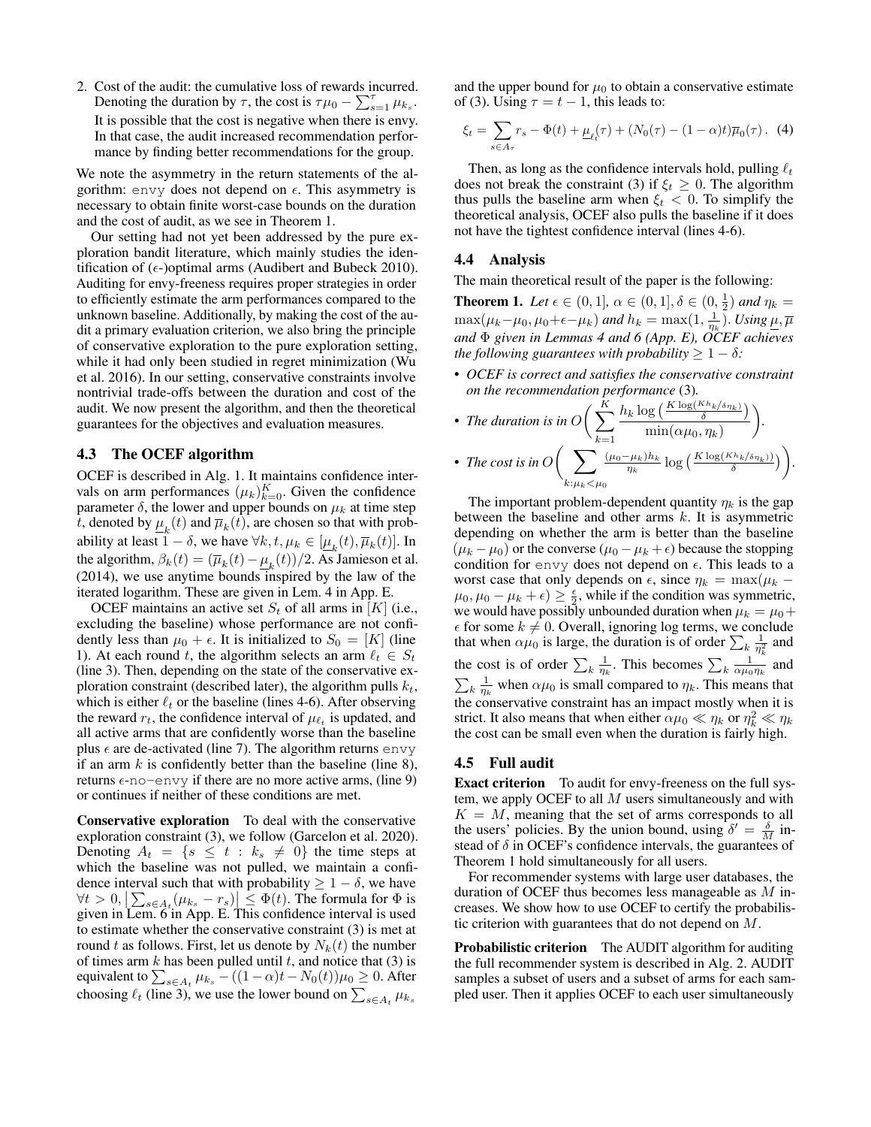2. Cost of the audit: the cumulative loss of rewards incurred. Denoting the duration by  $\tau$ , the cost is  $\tau \mu_0 - \sum_{s=1}^{\tau} \mu_{k_s}$ . It is possible that the cost is negative when there is envy. In that case, the audit increased recommendation performance by finding better recommendations for the group.

We note the asymmetry in the return statements of the algorithm: envy does not depend on  $\epsilon$ . This asymmetry is necessary to obtain finite worst-case bounds on the duration and the cost of audit, as we see in Theorem 1.

Our setting had not yet been addressed by the pure exploration bandit literature, which mainly studies the identification of  $(\epsilon)$ -)optimal arms (Audibert and Bubeck 2010). Auditing for envy-freeness requires proper strategies in order to efficiently estimate the arm performances compared to the unknown baseline. Additionally, by making the cost of the audit a primary evaluation criterion, we also bring the principle of conservative exploration to the pure exploration setting, while it had only been studied in regret minimization (Wu et al. 2016). In our setting, conservative constraints involve nontrivial trade-offs between the duration and cost of the audit. We now present the algorithm, and then the theoretical guarantees for the objectives and evaluation measures.

#### 4.3 The OCEF algorithm

OCEF is described in Alg. 1. It maintains confidence intervals on arm performances  $(\mu_k)_{k=0}^K$ . Given the confidence parameter  $\delta$ , the lower and upper bounds on  $\mu_k$  at time step t, denoted by  $\underline{\mu}_k(t)$  and  $\overline{\mu}_k(t)$ , are chosen so that with probability at least  $1 - \delta$ , we have  $\forall k, t, \mu_k \in [\underline{\mu}_k(t), \overline{\mu}_k(t)]$ . In the algorithm,  $\beta_k(t) = (\overline{\mu}_k(t) - \underline{\mu}_k(t))/2$ . As Jamieson et al. (2014), we use anytime bounds inspired by the law of the iterated logarithm. These are given in Lem. 4 in App. E.

OCEF maintains an active set  $S_t$  of all arms in [K] (i.e., excluding the baseline) whose performance are not confidently less than  $\mu_0 + \epsilon$ . It is initialized to  $S_0 = [K]$  (line 1). At each round t, the algorithm selects an arm  $\ell_t \in S_t$ (line 3). Then, depending on the state of the conservative exploration constraint (described later), the algorithm pulls  $k_t$ , which is either  $\ell_t$  or the baseline (lines 4-6). After observing the reward  $r_t$ , the confidence interval of  $\mu_{\ell_t}$  is updated, and all active arms that are confidently worse than the baseline plus  $\epsilon$  are de-activated (line 7). The algorithm returns envy if an arm  $k$  is confidently better than the baseline (line 8), returns  $\epsilon$ -no-envy if there are no more active arms, (line 9) or continues if neither of these conditions are met.

Conservative exploration To deal with the conservative exploration constraint (3), we follow (Garcelon et al. 2020). Denoting  $A_t = \{s \leq t : k_s \neq 0\}$  the time steps at which the baseline was not pulled, we maintain a confidence interval such that with probability  $\geq 1 - \delta$ , we have  $\forall t > 0, \left| \sum_{s \in A_t} (\mu_{k_s} - r_s) \right| \leq \Phi(t)$ . The formula for  $\Phi$  is given in Lem. 6 in App. E. This confidence interval is used to estimate whether the conservative constraint (3) is met at round t as follows. First, let us denote by  $N_k(t)$  the number of times arm  $k$  has been pulled until  $t$ , and notice that (3) is equivalent to  $\sum_{s \in A_t} \mu_{k_s} - ((1 - \alpha)t - N_0(t))\mu_0 \ge 0$ . After choosing  $\ell_t$  (line 3), we use the lower bound on  $\sum_{s \in A_t} \mu_{k_s}$ 

and the upper bound for  $\mu_0$  to obtain a conservative estimate of (3). Using  $\tau = t - 1$ , this leads to:

$$
\xi_t = \sum_{s \in A_{\tau}} r_s - \Phi(t) + \underline{\mu}_{\ell_t}(\tau) + (N_0(\tau) - (1 - \alpha)t)\overline{\mu}_0(\tau). \tag{4}
$$

Then, as long as the confidence intervals hold, pulling  $\ell_t$ does not break the constraint (3) if  $\xi_t \geq 0$ . The algorithm thus pulls the baseline arm when  $\xi_t < 0$ . To simplify the theoretical analysis, OCEF also pulls the baseline if it does not have the tightest confidence interval (lines 4-6).

### 4.4 Analysis

The main theoretical result of the paper is the following:

**Theorem 1.** Let  $\epsilon \in (0, 1]$ ,  $\alpha \in (0, 1]$ ,  $\delta \in (0, \frac{1}{2})$  and  $\eta_k =$  $\max(\mu_k-\mu_0,\mu_0+\epsilon-\mu_k)$  and  $h_k=\max(1,\frac{1}{\eta_k})$ . Using  $\underline{\mu},\overline{\mu}$ *and* Φ *given in Lemmas 4 and 6 (App. E), OCEF achieves the following guarantees with probability*  $\geq 1 - \delta$ *:* 

• *OCEF is correct and satisfies the conservative constraint on the recommendation performance* (3)*.*

• The duration is in 
$$
O\left(\sum_{k=1}^{K} \frac{h_k \log\left(\frac{K \log(K h_k / \delta \eta_k)}{\delta}\right)}{\min(\alpha \mu_0, \eta_k)}\right)
$$
.  
\n• The cost is in  $O\left(\sum_{k:\mu_k < \mu_0} \frac{(\mu_0 - \mu_k)h_k}{\eta_k} \log\left(\frac{K \log(K h_k / \delta \eta_k)}{\delta}\right)\right)$ .

The important problem-dependent quantity  $\eta_k$  is the gap between the baseline and other arms  $k$ . It is asymmetric depending on whether the arm is better than the baseline  $(\mu_k - \mu_0)$  or the converse  $(\mu_0 - \mu_k + \epsilon)$  because the stopping condition for envy does not depend on  $\epsilon$ . This leads to a worst case that only depends on  $\epsilon$ , since  $\eta_k = \max(\mu_k - \epsilon)$  $\mu_0, \mu_0 - \mu_k + \epsilon \geq \frac{\epsilon}{2}$ , while if the condition was symmetric, we would have possibly unbounded duration when  $\mu_k = \mu_0 +$  $\epsilon$  for some  $k \neq 0$ . Overall, ignoring log terms, we conclude that when  $\alpha \mu_0$  is large, the duration is of order  $\sum_k \frac{1}{\eta_k^2}$  and the cost is of order  $\sum_{k} \frac{1}{\eta_k}$ . This becomes  $\sum_{k} \frac{1}{\alpha \mu_0 \eta_k}$  and  $\sum_{k} \frac{1}{\eta_k}$  when  $\alpha \mu_0$  is small compared to  $\eta_k$ . This means that the conservative constraint has an impact mostly when it is strict. It also means that when either  $\alpha \mu_0 \ll \eta_k$  or  $\eta_k^2 \ll \eta_k$ the cost can be small even when the duration is fairly high.

#### 4.5 Full audit

Exact criterion To audit for envy-freeness on the full system, we apply OCEF to all  $M$  users simultaneously and with  $K = M$ , meaning that the set of arms corresponds to all the users' policies. By the union bound, using  $\delta' = \frac{\delta}{M}$  instead of  $\delta$  in OCEF's confidence intervals, the guarantees of Theorem 1 hold simultaneously for all users.

For recommender systems with large user databases, the duration of OCEF thus becomes less manageable as M increases. We show how to use OCEF to certify the probabilistic criterion with guarantees that do not depend on M.

Probabilistic criterion The AUDIT algorithm for auditing the full recommender system is described in Alg. 2. AUDIT samples a subset of users and a subset of arms for each sampled user. Then it applies OCEF to each user simultaneously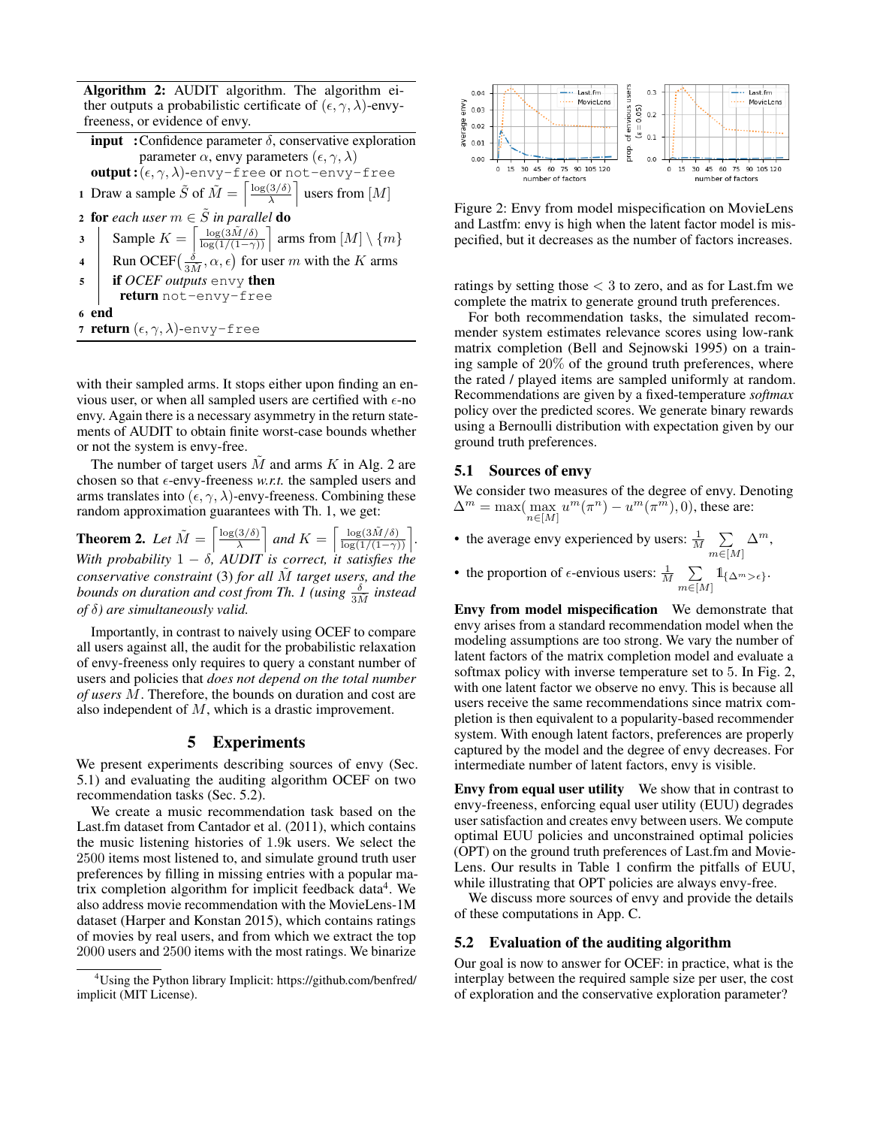Algorithm 2: AUDIT algorithm. The algorithm either outputs a probabilistic certificate of  $(\epsilon, \gamma, \lambda)$ -envyfreeness, or evidence of envy.

| <b>input</b> : Confidence parameter $\delta$ , conservative exploration                                                                                           |
|-------------------------------------------------------------------------------------------------------------------------------------------------------------------|
| parameter $\alpha$ , envy parameters $(\epsilon, \gamma, \lambda)$                                                                                                |
| <b>output:</b> $(\epsilon, \gamma, \lambda)$ -envy-free or not-envy-free                                                                                          |
| 1 Draw a sample $\tilde{S}$ of $\tilde{M} = \left[\frac{\log(3/\delta)}{\lambda}\right]$ users from $[M]$                                                         |
| <b>2 for</b> each user $m \in \tilde{S}$ in parallel <b>do</b>                                                                                                    |
| Sample $K = \left[\frac{\log(3\tilde{M}/\delta)}{\log(1/(1-\gamma))}\right]$ arms from $[M] \setminus \{m\}$<br>3                                                 |
| 4 Run OCEF $\left(\frac{\dot{\delta}}{3\tilde{M}}, \alpha, \epsilon\right)$ for user <i>m</i> with the <i>K</i> arms<br>5 <b>if</b> OCEF outputs envy <b>then</b> |
|                                                                                                                                                                   |
| return not-envy-free                                                                                                                                              |
| 6 end                                                                                                                                                             |
| 7 return $(\epsilon, \gamma, \lambda)$ -envy-free                                                                                                                 |

with their sampled arms. It stops either upon finding an envious user, or when all sampled users are certified with  $\epsilon$ -no envy. Again there is a necessary asymmetry in the return statements of AUDIT to obtain finite worst-case bounds whether or not the system is envy-free.

The number of target users M and arms K in Alg. 2 are chosen so that  $\epsilon$ -envy-freeness *w.r.t.* the sampled users and arms translates into  $(\epsilon, \gamma, \lambda)$ -envy-freeness. Combining these random approximation guarantees with Th. 1, we get:

**Theorem 2.** Let  $\tilde{M} = \begin{bmatrix} \frac{\log(3/\delta)}{\lambda} \end{bmatrix}$  $\left[\frac{3/\delta}{\lambda}\right]$  and  $K = \left[\frac{\log(3\tilde{M}/\delta)}{\log(1/(1-\gamma))}\right]$ . *With probability*  $1 - \delta$ *, AUDIT is correct, it satisfies the conservative constraint* (3) *for all* M˜ *target users, and the bounds on duration and cost from Th. 1 (using*  $\frac{\delta}{3\tilde{M}}$  *instead of* δ*) are simultaneously valid.*

Importantly, in contrast to naively using OCEF to compare all users against all, the audit for the probabilistic relaxation of envy-freeness only requires to query a constant number of users and policies that *does not depend on the total number of users* M. Therefore, the bounds on duration and cost are also independent of M, which is a drastic improvement.

#### 5 Experiments

We present experiments describing sources of envy (Sec. 5.1) and evaluating the auditing algorithm OCEF on two recommendation tasks (Sec. 5.2).

We create a music recommendation task based on the Last.fm dataset from Cantador et al. (2011), which contains the music listening histories of 1.9k users. We select the 2500 items most listened to, and simulate ground truth user preferences by filling in missing entries with a popular matrix completion algorithm for implicit feedback data<sup>4</sup>. We also address movie recommendation with the MovieLens-1M dataset (Harper and Konstan 2015), which contains ratings of movies by real users, and from which we extract the top 2000 users and 2500 items with the most ratings. We binarize



Figure 2: Envy from model mispecification on MovieLens and Lastfm: envy is high when the latent factor model is mispecified, but it decreases as the number of factors increases.

ratings by setting those  $<$  3 to zero, and as for Last. fm we complete the matrix to generate ground truth preferences.

For both recommendation tasks, the simulated recommender system estimates relevance scores using low-rank matrix completion (Bell and Sejnowski 1995) on a training sample of 20% of the ground truth preferences, where the rated / played items are sampled uniformly at random. Recommendations are given by a fixed-temperature *softmax* policy over the predicted scores. We generate binary rewards using a Bernoulli distribution with expectation given by our ground truth preferences.

#### 5.1 Sources of envy

We consider two measures of the degree of envy. Denoting  $\Delta^m = \max(\max_{n \in [M]} u^m(\pi^n) - u^m(\pi^m), 0)$ , these are:

- the average envy experienced by users:  $\frac{1}{M}$   $\sum_{n=1}^{\infty}$  $m \in [M]$  $\Delta^m$ ,
- the proportion of  $\epsilon$ -envious users:  $\frac{1}{M}$   $\sum_{n=1}^{\infty}$  $\sum_{m\in[M]} 1_{\{\Delta^m > \epsilon\}}.$

Envy from model mispecification We demonstrate that envy arises from a standard recommendation model when the modeling assumptions are too strong. We vary the number of latent factors of the matrix completion model and evaluate a softmax policy with inverse temperature set to 5. In Fig. 2, with one latent factor we observe no envy. This is because all users receive the same recommendations since matrix completion is then equivalent to a popularity-based recommender system. With enough latent factors, preferences are properly captured by the model and the degree of envy decreases. For intermediate number of latent factors, envy is visible.

Envy from equal user utility We show that in contrast to envy-freeness, enforcing equal user utility (EUU) degrades user satisfaction and creates envy between users. We compute optimal EUU policies and unconstrained optimal policies (OPT) on the ground truth preferences of Last.fm and Movie-Lens. Our results in Table 1 confirm the pitfalls of EUU, while illustrating that OPT policies are always envy-free.

We discuss more sources of envy and provide the details of these computations in App. C.

#### 5.2 Evaluation of the auditing algorithm

Our goal is now to answer for OCEF: in practice, what is the interplay between the required sample size per user, the cost of exploration and the conservative exploration parameter?

<sup>4</sup>Using the Python library Implicit: https://github.com/benfred/ implicit (MIT License).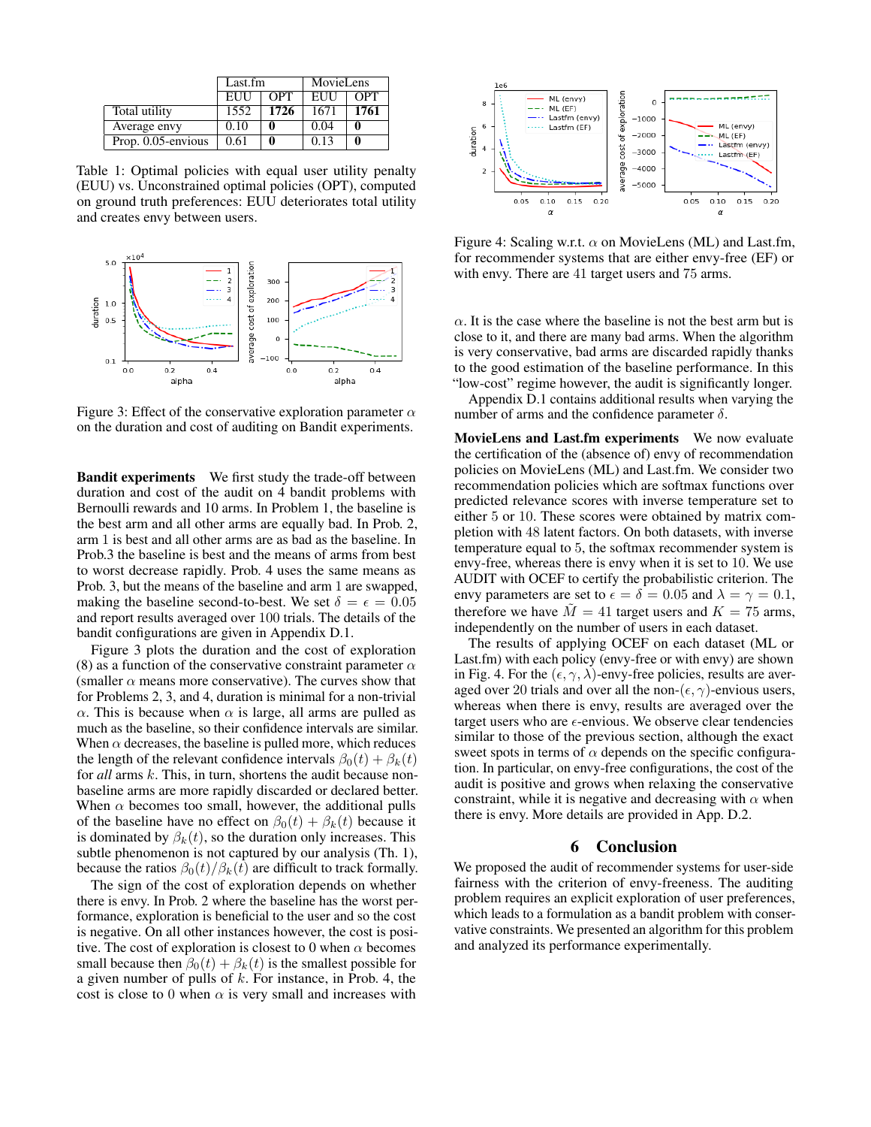|                    |            | MovieLens<br>Last.fm |            |                  |
|--------------------|------------|----------------------|------------|------------------|
|                    | <b>EUU</b> | $\overline{OPT}$     | <b>EUU</b> | $\overline{OPT}$ |
| Total utility      | 1552       | 1726                 | 1671       | 1761             |
| Average envy       | 0.10       |                      | 0.04       |                  |
| Prop. 0.05-envious | 0.61       |                      | 0.13       |                  |

Table 1: Optimal policies with equal user utility penalty (EUU) vs. Unconstrained optimal policies (OPT), computed on ground truth preferences: EUU deteriorates total utility and creates envy between users.



Figure 3: Effect of the conservative exploration parameter  $\alpha$ on the duration and cost of auditing on Bandit experiments.

Bandit experiments We first study the trade-off between duration and cost of the audit on 4 bandit problems with Bernoulli rewards and 10 arms. In Problem 1, the baseline is the best arm and all other arms are equally bad. In Prob. 2, arm 1 is best and all other arms are as bad as the baseline. In Prob.3 the baseline is best and the means of arms from best to worst decrease rapidly. Prob. 4 uses the same means as Prob. 3, but the means of the baseline and arm 1 are swapped, making the baseline second-to-best. We set  $\delta = \epsilon = 0.05$ and report results averaged over 100 trials. The details of the bandit configurations are given in Appendix D.1.

Figure 3 plots the duration and the cost of exploration (8) as a function of the conservative constraint parameter  $\alpha$ (smaller  $\alpha$  means more conservative). The curves show that for Problems 2, 3, and 4, duration is minimal for a non-trivial  $\alpha$ . This is because when  $\alpha$  is large, all arms are pulled as much as the baseline, so their confidence intervals are similar. When  $\alpha$  decreases, the baseline is pulled more, which reduces the length of the relevant confidence intervals  $\beta_0(t) + \beta_k(t)$ for *all* arms k. This, in turn, shortens the audit because nonbaseline arms are more rapidly discarded or declared better. When  $\alpha$  becomes too small, however, the additional pulls of the baseline have no effect on  $\beta_0(t) + \beta_k(t)$  because it is dominated by  $\beta_k(t)$ , so the duration only increases. This subtle phenomenon is not captured by our analysis (Th. 1), because the ratios  $\beta_0(t)/\beta_k(t)$  are difficult to track formally.

The sign of the cost of exploration depends on whether there is envy. In Prob. 2 where the baseline has the worst performance, exploration is beneficial to the user and so the cost is negative. On all other instances however, the cost is positive. The cost of exploration is closest to 0 when  $\alpha$  becomes small because then  $\beta_0(t) + \beta_k(t)$  is the smallest possible for a given number of pulls of  $k$ . For instance, in Prob. 4, the cost is close to 0 when  $\alpha$  is very small and increases with



Figure 4: Scaling w.r.t.  $\alpha$  on MovieLens (ML) and Last.fm, for recommender systems that are either envy-free (EF) or with envy. There are 41 target users and 75 arms.

 $\alpha$ . It is the case where the baseline is not the best arm but is close to it, and there are many bad arms. When the algorithm is very conservative, bad arms are discarded rapidly thanks to the good estimation of the baseline performance. In this "low-cost" regime however, the audit is significantly longer.

Appendix D.1 contains additional results when varying the number of arms and the confidence parameter  $\delta$ .

MovieLens and Last.fm experiments We now evaluate the certification of the (absence of) envy of recommendation policies on MovieLens (ML) and Last.fm. We consider two recommendation policies which are softmax functions over predicted relevance scores with inverse temperature set to either 5 or 10. These scores were obtained by matrix completion with 48 latent factors. On both datasets, with inverse temperature equal to 5, the softmax recommender system is envy-free, whereas there is envy when it is set to 10. We use AUDIT with OCEF to certify the probabilistic criterion. The envy parameters are set to  $\epsilon = \delta = 0.05$  and  $\lambda = \gamma = 0.1$ , therefore we have  $M = 41$  target users and  $K = 75$  arms, independently on the number of users in each dataset.

The results of applying OCEF on each dataset (ML or Last.fm) with each policy (envy-free or with envy) are shown in Fig. 4. For the  $(\epsilon, \gamma, \lambda)$ -envy-free policies, results are averaged over 20 trials and over all the non- $(\epsilon, \gamma)$ -envious users, whereas when there is envy, results are averaged over the target users who are  $\epsilon$ -envious. We observe clear tendencies similar to those of the previous section, although the exact sweet spots in terms of  $\alpha$  depends on the specific configuration. In particular, on envy-free configurations, the cost of the audit is positive and grows when relaxing the conservative constraint, while it is negative and decreasing with  $\alpha$  when there is envy. More details are provided in App. D.2.

### 6 Conclusion

We proposed the audit of recommender systems for user-side fairness with the criterion of envy-freeness. The auditing problem requires an explicit exploration of user preferences, which leads to a formulation as a bandit problem with conservative constraints. We presented an algorithm for this problem and analyzed its performance experimentally.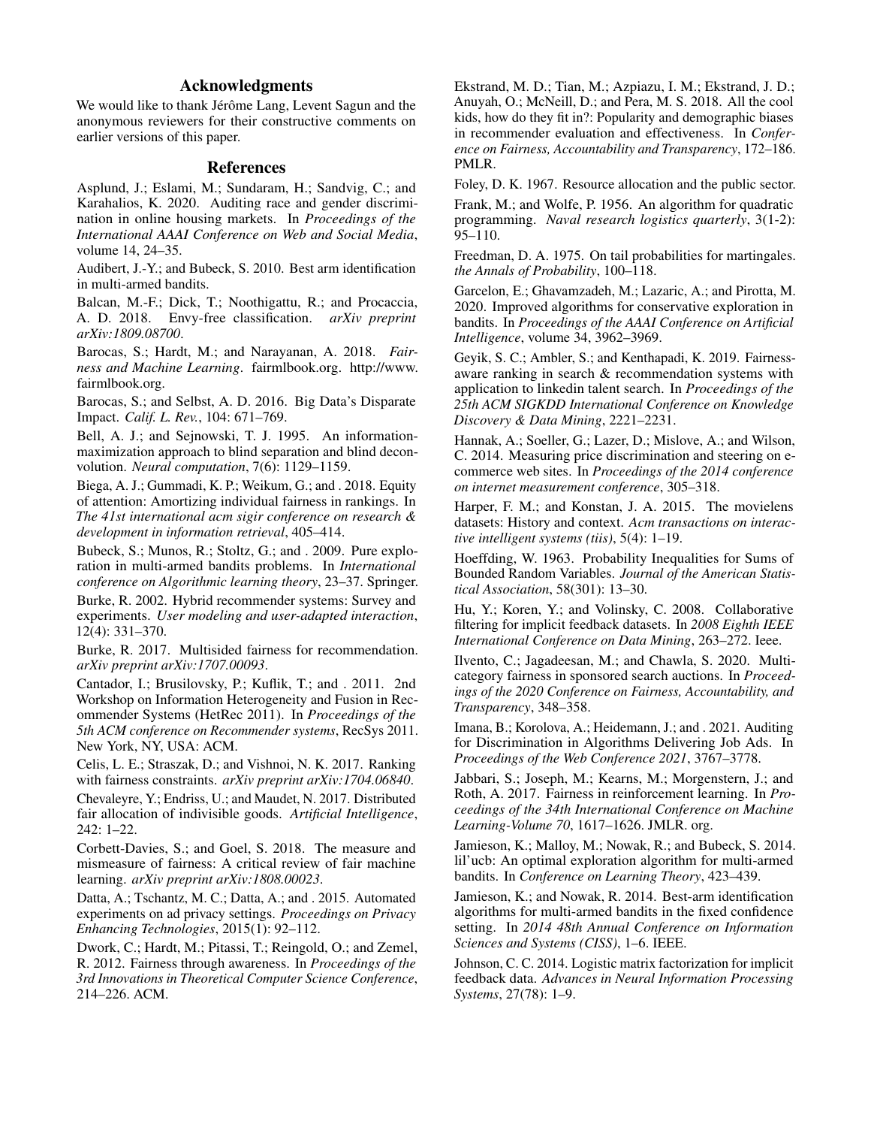# Acknowledgments

We would like to thank Jérôme Lang, Levent Sagun and the anonymous reviewers for their constructive comments on earlier versions of this paper.

# References

Asplund, J.; Eslami, M.; Sundaram, H.; Sandvig, C.; and Karahalios, K. 2020. Auditing race and gender discrimination in online housing markets. In *Proceedings of the International AAAI Conference on Web and Social Media*, volume 14, 24–35.

Audibert, J.-Y.; and Bubeck, S. 2010. Best arm identification in multi-armed bandits.

Balcan, M.-F.; Dick, T.; Noothigattu, R.; and Procaccia, A. D. 2018. Envy-free classification. *arXiv preprint arXiv:1809.08700*.

Barocas, S.; Hardt, M.; and Narayanan, A. 2018. *Fairness and Machine Learning*. fairmlbook.org. http://www. fairmlbook.org.

Barocas, S.; and Selbst, A. D. 2016. Big Data's Disparate Impact. *Calif. L. Rev.*, 104: 671–769.

Bell, A. J.; and Sejnowski, T. J. 1995. An informationmaximization approach to blind separation and blind deconvolution. *Neural computation*, 7(6): 1129–1159.

Biega, A. J.; Gummadi, K. P.; Weikum, G.; and . 2018. Equity of attention: Amortizing individual fairness in rankings. In *The 41st international acm sigir conference on research & development in information retrieval*, 405–414.

Bubeck, S.; Munos, R.; Stoltz, G.; and . 2009. Pure exploration in multi-armed bandits problems. In *International conference on Algorithmic learning theory*, 23–37. Springer.

Burke, R. 2002. Hybrid recommender systems: Survey and experiments. *User modeling and user-adapted interaction*, 12(4): 331–370.

Burke, R. 2017. Multisided fairness for recommendation. *arXiv preprint arXiv:1707.00093*.

Cantador, I.; Brusilovsky, P.; Kuflik, T.; and . 2011. 2nd Workshop on Information Heterogeneity and Fusion in Recommender Systems (HetRec 2011). In *Proceedings of the 5th ACM conference on Recommender systems*, RecSys 2011. New York, NY, USA: ACM.

Celis, L. E.; Straszak, D.; and Vishnoi, N. K. 2017. Ranking with fairness constraints. *arXiv preprint arXiv:1704.06840*.

Chevaleyre, Y.; Endriss, U.; and Maudet, N. 2017. Distributed fair allocation of indivisible goods. *Artificial Intelligence*, 242: 1–22.

Corbett-Davies, S.; and Goel, S. 2018. The measure and mismeasure of fairness: A critical review of fair machine learning. *arXiv preprint arXiv:1808.00023*.

Datta, A.; Tschantz, M. C.; Datta, A.; and . 2015. Automated experiments on ad privacy settings. *Proceedings on Privacy Enhancing Technologies*, 2015(1): 92–112.

Dwork, C.; Hardt, M.; Pitassi, T.; Reingold, O.; and Zemel, R. 2012. Fairness through awareness. In *Proceedings of the 3rd Innovations in Theoretical Computer Science Conference*, 214–226. ACM.

Ekstrand, M. D.; Tian, M.; Azpiazu, I. M.; Ekstrand, J. D.; Anuyah, O.; McNeill, D.; and Pera, M. S. 2018. All the cool kids, how do they fit in?: Popularity and demographic biases in recommender evaluation and effectiveness. In *Conference on Fairness, Accountability and Transparency*, 172–186. PMLR.

Foley, D. K. 1967. Resource allocation and the public sector.

Frank, M.; and Wolfe, P. 1956. An algorithm for quadratic programming. *Naval research logistics quarterly*, 3(1-2): 95–110.

Freedman, D. A. 1975. On tail probabilities for martingales. *the Annals of Probability*, 100–118.

Garcelon, E.; Ghavamzadeh, M.; Lazaric, A.; and Pirotta, M. 2020. Improved algorithms for conservative exploration in bandits. In *Proceedings of the AAAI Conference on Artificial Intelligence*, volume 34, 3962–3969.

Geyik, S. C.; Ambler, S.; and Kenthapadi, K. 2019. Fairnessaware ranking in search & recommendation systems with application to linkedin talent search. In *Proceedings of the 25th ACM SIGKDD International Conference on Knowledge Discovery & Data Mining*, 2221–2231.

Hannak, A.; Soeller, G.; Lazer, D.; Mislove, A.; and Wilson, C. 2014. Measuring price discrimination and steering on ecommerce web sites. In *Proceedings of the 2014 conference on internet measurement conference*, 305–318.

Harper, F. M.; and Konstan, J. A. 2015. The movielens datasets: History and context. *Acm transactions on interactive intelligent systems (tiis)*, 5(4): 1–19.

Hoeffding, W. 1963. Probability Inequalities for Sums of Bounded Random Variables. *Journal of the American Statistical Association*, 58(301): 13–30.

Hu, Y.; Koren, Y.; and Volinsky, C. 2008. Collaborative filtering for implicit feedback datasets. In *2008 Eighth IEEE International Conference on Data Mining*, 263–272. Ieee.

Ilvento, C.; Jagadeesan, M.; and Chawla, S. 2020. Multicategory fairness in sponsored search auctions. In *Proceedings of the 2020 Conference on Fairness, Accountability, and Transparency*, 348–358.

Imana, B.; Korolova, A.; Heidemann, J.; and . 2021. Auditing for Discrimination in Algorithms Delivering Job Ads. In *Proceedings of the Web Conference 2021*, 3767–3778.

Jabbari, S.; Joseph, M.; Kearns, M.; Morgenstern, J.; and Roth, A. 2017. Fairness in reinforcement learning. In *Proceedings of the 34th International Conference on Machine Learning-Volume 70*, 1617–1626. JMLR. org.

Jamieson, K.; Malloy, M.; Nowak, R.; and Bubeck, S. 2014. lil'ucb: An optimal exploration algorithm for multi-armed bandits. In *Conference on Learning Theory*, 423–439.

Jamieson, K.; and Nowak, R. 2014. Best-arm identification algorithms for multi-armed bandits in the fixed confidence setting. In *2014 48th Annual Conference on Information Sciences and Systems (CISS)*, 1–6. IEEE.

Johnson, C. C. 2014. Logistic matrix factorization for implicit feedback data. *Advances in Neural Information Processing Systems*, 27(78): 1–9.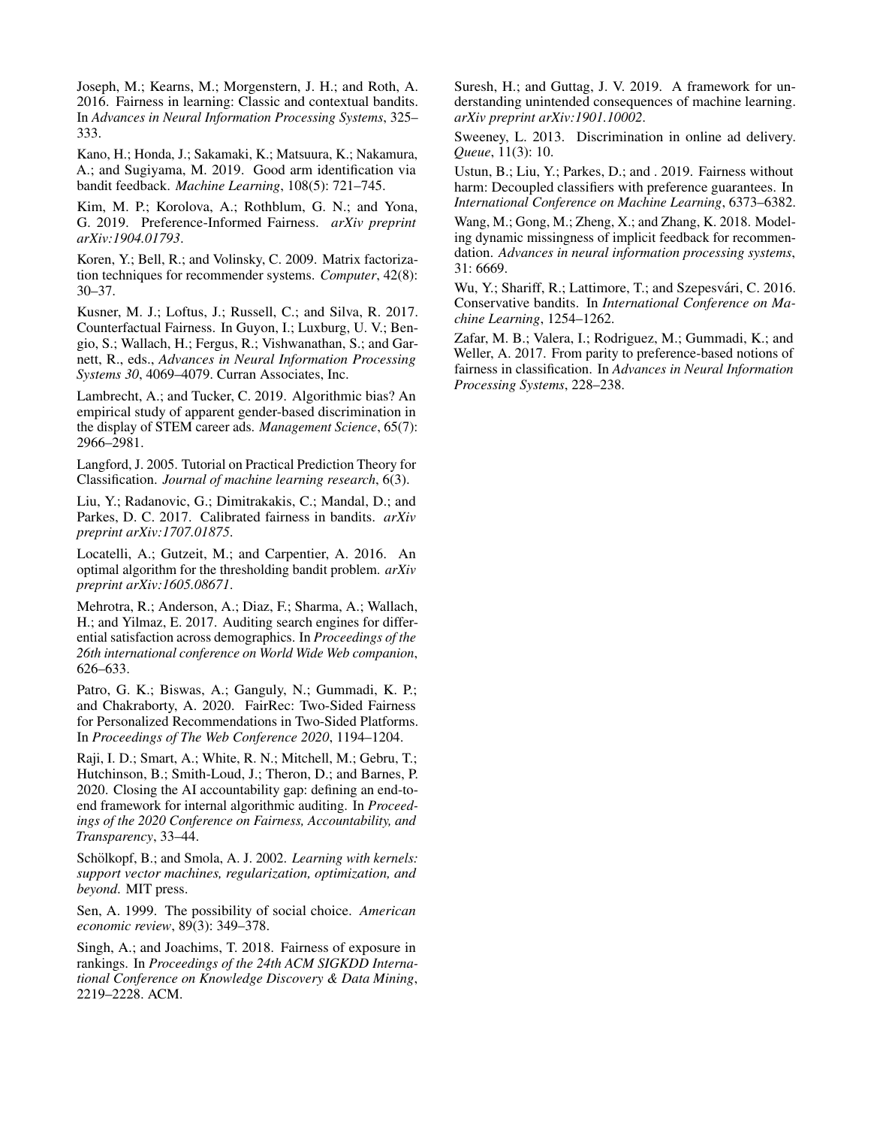Joseph, M.; Kearns, M.; Morgenstern, J. H.; and Roth, A. 2016. Fairness in learning: Classic and contextual bandits. In *Advances in Neural Information Processing Systems*, 325– 333.

Kano, H.; Honda, J.; Sakamaki, K.; Matsuura, K.; Nakamura, A.; and Sugiyama, M. 2019. Good arm identification via bandit feedback. *Machine Learning*, 108(5): 721–745.

Kim, M. P.; Korolova, A.; Rothblum, G. N.; and Yona, G. 2019. Preference-Informed Fairness. *arXiv preprint arXiv:1904.01793*.

Koren, Y.; Bell, R.; and Volinsky, C. 2009. Matrix factorization techniques for recommender systems. *Computer*, 42(8): 30–37.

Kusner, M. J.; Loftus, J.; Russell, C.; and Silva, R. 2017. Counterfactual Fairness. In Guyon, I.; Luxburg, U. V.; Bengio, S.; Wallach, H.; Fergus, R.; Vishwanathan, S.; and Garnett, R., eds., *Advances in Neural Information Processing Systems 30*, 4069–4079. Curran Associates, Inc.

Lambrecht, A.; and Tucker, C. 2019. Algorithmic bias? An empirical study of apparent gender-based discrimination in the display of STEM career ads. *Management Science*, 65(7): 2966–2981.

Langford, J. 2005. Tutorial on Practical Prediction Theory for Classification. *Journal of machine learning research*, 6(3).

Liu, Y.; Radanovic, G.; Dimitrakakis, C.; Mandal, D.; and Parkes, D. C. 2017. Calibrated fairness in bandits. *arXiv preprint arXiv:1707.01875*.

Locatelli, A.; Gutzeit, M.; and Carpentier, A. 2016. An optimal algorithm for the thresholding bandit problem. *arXiv preprint arXiv:1605.08671*.

Mehrotra, R.; Anderson, A.; Diaz, F.; Sharma, A.; Wallach, H.; and Yilmaz, E. 2017. Auditing search engines for differential satisfaction across demographics. In *Proceedings of the 26th international conference on World Wide Web companion*, 626–633.

Patro, G. K.; Biswas, A.; Ganguly, N.; Gummadi, K. P.; and Chakraborty, A. 2020. FairRec: Two-Sided Fairness for Personalized Recommendations in Two-Sided Platforms. In *Proceedings of The Web Conference 2020*, 1194–1204.

Raji, I. D.; Smart, A.; White, R. N.; Mitchell, M.; Gebru, T.; Hutchinson, B.; Smith-Loud, J.; Theron, D.; and Barnes, P. 2020. Closing the AI accountability gap: defining an end-toend framework for internal algorithmic auditing. In *Proceedings of the 2020 Conference on Fairness, Accountability, and Transparency*, 33–44.

Schölkopf, B.; and Smola, A. J. 2002. *Learning with kernels: support vector machines, regularization, optimization, and beyond*. MIT press.

Sen, A. 1999. The possibility of social choice. *American economic review*, 89(3): 349–378.

Singh, A.; and Joachims, T. 2018. Fairness of exposure in rankings. In *Proceedings of the 24th ACM SIGKDD International Conference on Knowledge Discovery & Data Mining*, 2219–2228. ACM.

Suresh, H.; and Guttag, J. V. 2019. A framework for understanding unintended consequences of machine learning. *arXiv preprint arXiv:1901.10002*.

Sweeney, L. 2013. Discrimination in online ad delivery. *Queue*, 11(3): 10.

Ustun, B.; Liu, Y.; Parkes, D.; and . 2019. Fairness without harm: Decoupled classifiers with preference guarantees. In *International Conference on Machine Learning*, 6373–6382.

Wang, M.; Gong, M.; Zheng, X.; and Zhang, K. 2018. Modeling dynamic missingness of implicit feedback for recommendation. *Advances in neural information processing systems*, 31: 6669.

Wu, Y.; Shariff, R.; Lattimore, T.; and Szepesvári, C. 2016. Conservative bandits. In *International Conference on Machine Learning*, 1254–1262.

Zafar, M. B.; Valera, I.; Rodriguez, M.; Gummadi, K.; and Weller, A. 2017. From parity to preference-based notions of fairness in classification. In *Advances in Neural Information Processing Systems*, 228–238.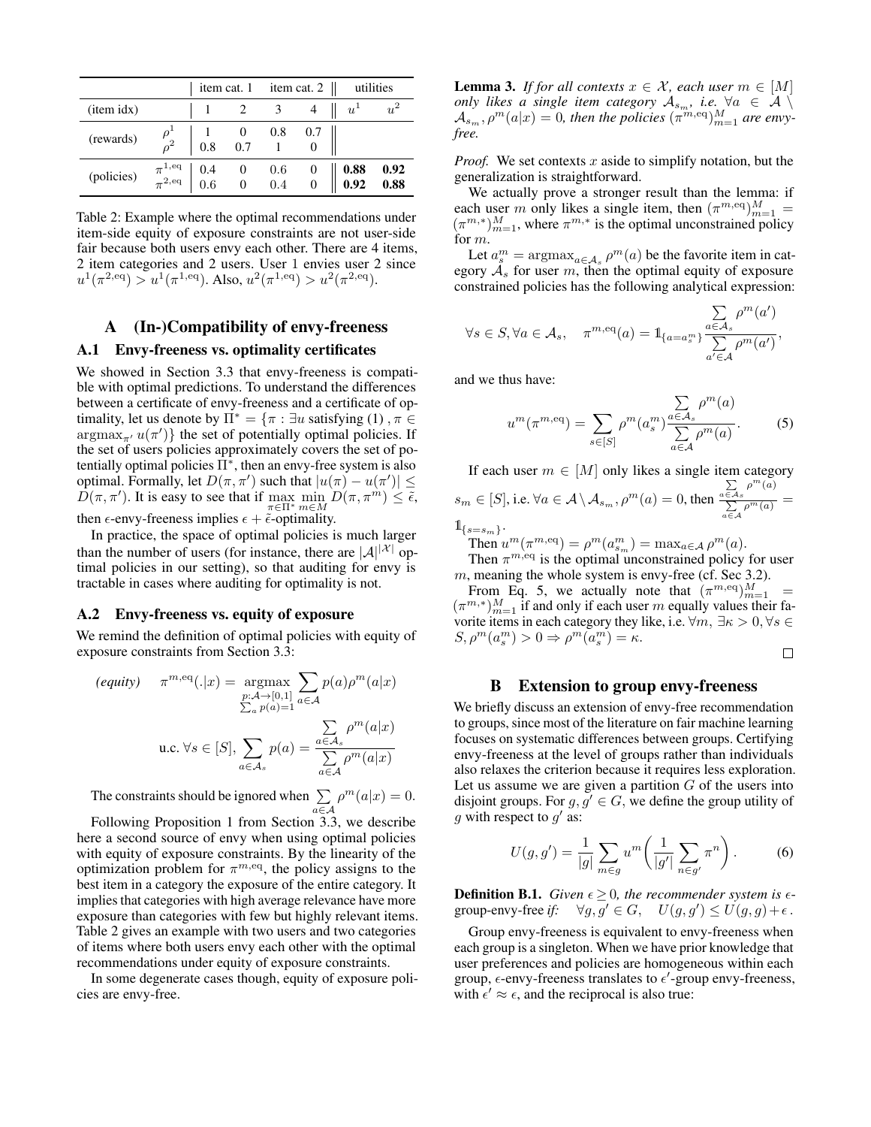|             |                                             |            |                           | item cat. 1 item cat. 2 $\parallel$      |                      |              | utilities                                   |
|-------------|---------------------------------------------|------------|---------------------------|------------------------------------------|----------------------|--------------|---------------------------------------------|
| $item$ idx) |                                             |            |                           |                                          |                      | $u^{\perp}$  | $u^2$                                       |
| (rewards)   |                                             | 0.8        | $1 \t 0 \t 0.8$<br>0.7    |                                          | 0.7                  |              |                                             |
| (policies)  | $\pi^{1,\mathrm{eq}}_{\pi^{2,\mathrm{eq}}}$ | 0.4<br>0.6 | $\frac{0}{1}$<br>$\theta$ | $\begin{array}{c} 0.6 \ 0.4 \end{array}$ | $\theta$<br>$\theta$ | 0.88<br>0.92 | $\begin{array}{c} 0.92 \\ 0.88 \end{array}$ |

Table 2: Example where the optimal recommendations under item-side equity of exposure constraints are not user-side fair because both users envy each other. There are 4 items, 2 item categories and 2 users. User 1 envies user 2 since  $u^1(\pi^{2,eq}) > u^1(\pi^{1,eq})$ . Also,  $u^2(\pi^{1,eq}) > u^2(\pi^{2,eq})$ .

# A (In-)Compatibility of envy-freeness

# A.1 Envy-freeness vs. optimality certificates

We showed in Section 3.3 that envy-freeness is compatible with optimal predictions. To understand the differences between a certificate of envy-freeness and a certificate of optimality, let us denote by  $\Pi^* = \{\pi : \exists u \text{ satisfying (1)}, \pi \in$  $\arg\max_{\pi} u(\pi')\}$  the set of potentially optimal policies. If the set of users policies approximately covers the set of potentially optimal policies  $\overline{\Pi}^*$ , then an envy-free system is also optimal. Formally, let  $D(\pi, \pi')$  such that  $|u(\pi) - u(\pi')| \leq$  $\hat{D}(\pi, \pi')$ . It is easy to see that if  $\max_{\pi \in \Pi^*} \min_{m \in M} D(\pi, \pi^m) \leq \tilde{\epsilon}$ , then  $\epsilon$ -envy-freeness implies  $\epsilon + \tilde{\epsilon}$ -optimality.

In practice, the space of optimal policies is much larger than the number of users (for instance, there are  $|\mathcal{A}|^{|\mathcal{X}|}$  optimal policies in our setting), so that auditing for envy is tractable in cases where auditing for optimality is not.

### A.2 Envy-freeness vs. equity of exposure

We remind the definition of optimal policies with equity of exposure constraints from Section 3.3:

$$
\begin{aligned}\n\text{(equiv)} \quad \pi^{m, \text{eq}}(.|x) &= \underset{\substack{p:\mathcal{A} \to [0,1] \\ \sum_a p(a) = 1}}{\text{argmax}} \sum_{a \in \mathcal{A}} p(a) \rho^m(a|x) \\
\text{u.c. } \forall s \in [S], \sum_{a \in \mathcal{A}_s} p(a) &= \frac{\sum_a \rho^m(a|x)}{\sum_{a \in \mathcal{A}} \rho^m(a|x)}\n\end{aligned}
$$

The constraints should be ignored when  $\Sigma$ a∈A  $\rho^m(a|x) = 0.$ 

Following Proposition 1 from Section 3.3, we describe here a second source of envy when using optimal policies with equity of exposure constraints. By the linearity of the optimization problem for  $\pi^{m,eq}$ , the policy assigns to the best item in a category the exposure of the entire category. It implies that categories with high average relevance have more exposure than categories with few but highly relevant items. Table 2 gives an example with two users and two categories of items where both users envy each other with the optimal recommendations under equity of exposure constraints.

In some degenerate cases though, equity of exposure policies are envy-free.

**Lemma 3.** *If for all contexts*  $x \in \mathcal{X}$ *, each user*  $m \in [M]$ *only likes a single item category*  $A_{s_m}$ *, i.e.*  $\forall a \in \mathcal{A} \setminus \mathcal{A}$  $\mathcal{A}_{s_m}, \rho^m(a|x) = 0$ , then the policies  $(\pi^{m,eq})_{m=1}^M$  are envy*free.*

*Proof.* We set contexts  $x$  aside to simplify notation, but the generalization is straightforward.

We actually prove a stronger result than the lemma: if each user m only likes a single item, then  $(\pi^{m,eq})_{m=1}^M =$  $(\pi^{m,*})_{m=1}^M$ , where  $\pi^{m,*}$  is the optimal unconstrained policy for m.

Let  $a_s^m = \text{argmax}_{a \in A_s} \rho^m(a)$  be the favorite item in category  $A_s$  for user m, then the optimal equity of exposure constrained policies has the following analytical expression:

$$
\forall s \in S, \forall a \in \mathcal{A}_s, \quad \pi^{m, \text{eq}}(a) = \mathbb{1}_{\{a = a_s^m\}} \frac{\sum\limits_{a \in \mathcal{A}_s} \rho^m(a')}{\sum\limits_{a' \in \mathcal{A}} \rho^m(a')},
$$

and we thus have:

$$
u^{m}(\pi^{m, \text{eq}}) = \sum_{s \in [S]} \rho^{m}(a_{s}^{m}) \frac{\sum\limits_{a \in A_{s}} \rho^{m}(a)}{\sum\limits_{a \in A} \rho^{m}(a)}.
$$
 (5)

If each user  $m \in [M]$  only likes a single item category  $s_m \in [S]$ , i.e.  $\forall a \in A \setminus \mathcal{A}_{s_m}, \rho^m(a) = 0$ , then  $\sum_{a \in A_s} \rho^m(a)$  $\frac{\sum\limits_{a \in A} \rho^m(a)}{\sum\limits_{a \in A} \rho^m(a)} =$  $\mathbb{1}_{\{s=s_m\}}.$ 

Then  $u^m(\pi^{m,eq}) = \rho^m(a_{s_m}^m) = \max_{a \in \mathcal{A}} \rho^m(a)$ .

Then  $\pi^{m,\text{eq}}$  is the optimal unconstrained policy for user m, meaning the whole system is envy-free (cf. Sec 3.2).

From Eq. 5, we actually note that  $(\pi^{m,eq})_{m=1}^M$  =  $(\pi^{m,*})_{m=1}^M$  if and only if each user m equally values their favorite items in each category they like, i.e.  $\forall m, \exists \kappa > 0, \forall s \in$  $S, \rho^m(a_s^m) > 0 \Rightarrow \rho^m(a_s^m) = \kappa.$ 

### B Extension to group envy-freeness

We briefly discuss an extension of envy-free recommendation to groups, since most of the literature on fair machine learning focuses on systematic differences between groups. Certifying envy-freeness at the level of groups rather than individuals also relaxes the criterion because it requires less exploration. Let us assume we are given a partition  $G$  of the users into disjoint groups. For  $g, g' \in G$ , we define the group utility of g with respect to  $g'$  as:

$$
U(g, g') = \frac{1}{|g|} \sum_{m \in g} u^m \left( \frac{1}{|g'|} \sum_{n \in g'} \pi^n \right).
$$
 (6)

**Definition B.1.** *Given*  $\epsilon > 0$ *, the recommender system is*  $\epsilon$ group-envy-free if:  $\forall g, g' \in G$ ,  $U(g, g') \leq U(g, g) + \epsilon$ .

Group envy-freeness is equivalent to envy-freeness when each group is a singleton. When we have prior knowledge that user preferences and policies are homogeneous within each group,  $\epsilon$ -envy-freeness translates to  $\epsilon'$ -group envy-freeness, with  $\epsilon' \approx \epsilon$ , and the reciprocal is also true: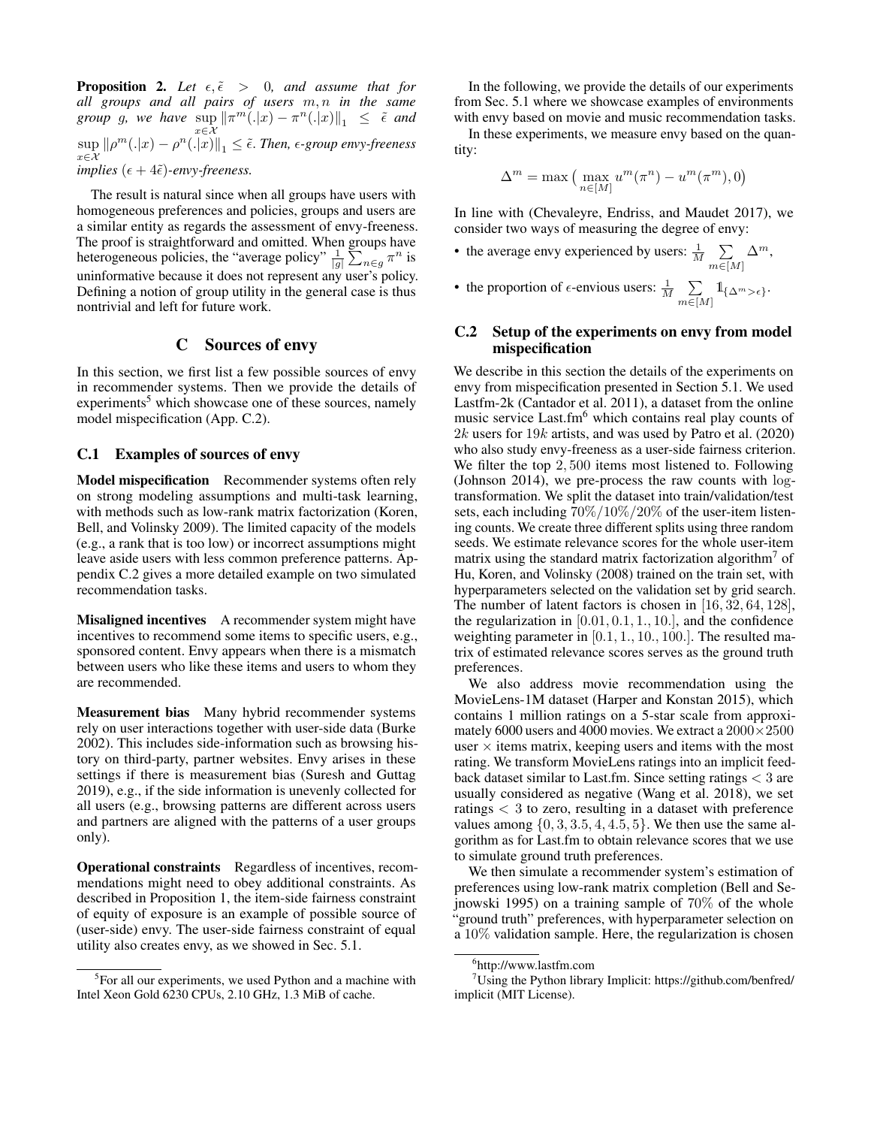**Proposition 2.** Let  $\epsilon, \tilde{\epsilon} > 0$ , and assume that for *all groups and all pairs of users* m, n *in the same group* g, we have  $\sup_{x \in \mathcal{X}} ||\pi^m(.|x) - \pi^n(.|x)||_1 \leq \tilde{\epsilon}$  and  $\sup_{x \in \mathcal{X}} ||\rho^m(.|x) - \rho^n(.|x)||_1 \leq \tilde{\epsilon}$ . Then,  $\epsilon$ -group envy-freeness *implies*  $(\epsilon + 4\tilde{\epsilon})$ *-envy-freeness.* 

The result is natural since when all groups have users with homogeneous preferences and policies, groups and users are a similar entity as regards the assessment of envy-freeness. The proof is straightforward and omitted. When groups have heterogeneous policies, the "average policy"  $\frac{1}{|g|} \sum_{n \in g} \pi^n$  is uninformative because it does not represent any user's policy. Defining a notion of group utility in the general case is thus nontrivial and left for future work.

# C Sources of envy

In this section, we first list a few possible sources of envy in recommender systems. Then we provide the details of experiments<sup>5</sup> which showcase one of these sources, namely model mispecification (App. C.2).

# C.1 Examples of sources of envy

Model mispecification Recommender systems often rely on strong modeling assumptions and multi-task learning, with methods such as low-rank matrix factorization (Koren, Bell, and Volinsky 2009). The limited capacity of the models (e.g., a rank that is too low) or incorrect assumptions might leave aside users with less common preference patterns. Appendix C.2 gives a more detailed example on two simulated recommendation tasks.

Misaligned incentives A recommender system might have incentives to recommend some items to specific users, e.g., sponsored content. Envy appears when there is a mismatch between users who like these items and users to whom they are recommended.

Measurement bias Many hybrid recommender systems rely on user interactions together with user-side data (Burke 2002). This includes side-information such as browsing history on third-party, partner websites. Envy arises in these settings if there is measurement bias (Suresh and Guttag 2019), e.g., if the side information is unevenly collected for all users (e.g., browsing patterns are different across users and partners are aligned with the patterns of a user groups only).

Operational constraints Regardless of incentives, recommendations might need to obey additional constraints. As described in Proposition 1, the item-side fairness constraint of equity of exposure is an example of possible source of (user-side) envy. The user-side fairness constraint of equal utility also creates envy, as we showed in Sec. 5.1.

In the following, we provide the details of our experiments from Sec. 5.1 where we showcase examples of environments with envy based on movie and music recommendation tasks.

In these experiments, we measure envy based on the quantity:

$$
\Delta^m = \max\left(\,\max_{n\in[M]} u^m(\pi^n) - u^m(\pi^m),0\right)
$$

In line with (Chevaleyre, Endriss, and Maudet 2017), we consider two ways of measuring the degree of envy:

- the average envy experienced by users:  $\frac{1}{M}$   $\sum_{n=1}^{\infty}$  $m \in [M]$  $\Delta^m$ ,
- the proportion of  $\epsilon$ -envious users:  $\frac{1}{M}$   $\sum_{i=1}^{M}$  $\sum_{m\in[M]} 1\!\!\!1_{\{\Delta^m > \epsilon\}}.$

# C.2 Setup of the experiments on envy from model mispecification

We describe in this section the details of the experiments on envy from mispecification presented in Section 5.1. We used Lastfm-2k (Cantador et al. 2011), a dataset from the online music service Last.fm<sup>6</sup> which contains real play counts of  $2k$  users for 19k artists, and was used by Patro et al. (2020) who also study envy-freeness as a user-side fairness criterion. We filter the top 2, 500 items most listened to. Following (Johnson 2014), we pre-process the raw counts with logtransformation. We split the dataset into train/validation/test sets, each including 70%/10%/20% of the user-item listening counts. We create three different splits using three random seeds. We estimate relevance scores for the whole user-item matrix using the standard matrix factorization algorithm<sup>7</sup> of Hu, Koren, and Volinsky (2008) trained on the train set, with hyperparameters selected on the validation set by grid search. The number of latent factors is chosen in [16, 32, 64, 128], the regularization in  $[0.01, 0.1, 1.0]$ , and the confidence weighting parameter in [0.1, 1., 10., 100.]. The resulted matrix of estimated relevance scores serves as the ground truth preferences.

We also address movie recommendation using the MovieLens-1M dataset (Harper and Konstan 2015), which contains 1 million ratings on a 5-star scale from approximately 6000 users and 4000 movies. We extract a  $2000\times2500$ user  $\times$  items matrix, keeping users and items with the most rating. We transform MovieLens ratings into an implicit feedback dataset similar to Last.fm. Since setting ratings < 3 are usually considered as negative (Wang et al. 2018), we set ratings < 3 to zero, resulting in a dataset with preference values among  $\{0, 3, 3.5, 4, 4.5, 5\}$ . We then use the same algorithm as for Last.fm to obtain relevance scores that we use to simulate ground truth preferences.

We then simulate a recommender system's estimation of preferences using low-rank matrix completion (Bell and Sejnowski 1995) on a training sample of 70% of the whole "ground truth" preferences, with hyperparameter selection on a 10% validation sample. Here, the regularization is chosen

<sup>&</sup>lt;sup>5</sup>For all our experiments, we used Python and a machine with Intel Xeon Gold 6230 CPUs, 2.10 GHz, 1.3 MiB of cache.

<sup>6</sup> http://www.lastfm.com

<sup>&</sup>lt;sup>7</sup>Using the Python library Implicit: https://github.com/benfred/ implicit (MIT License).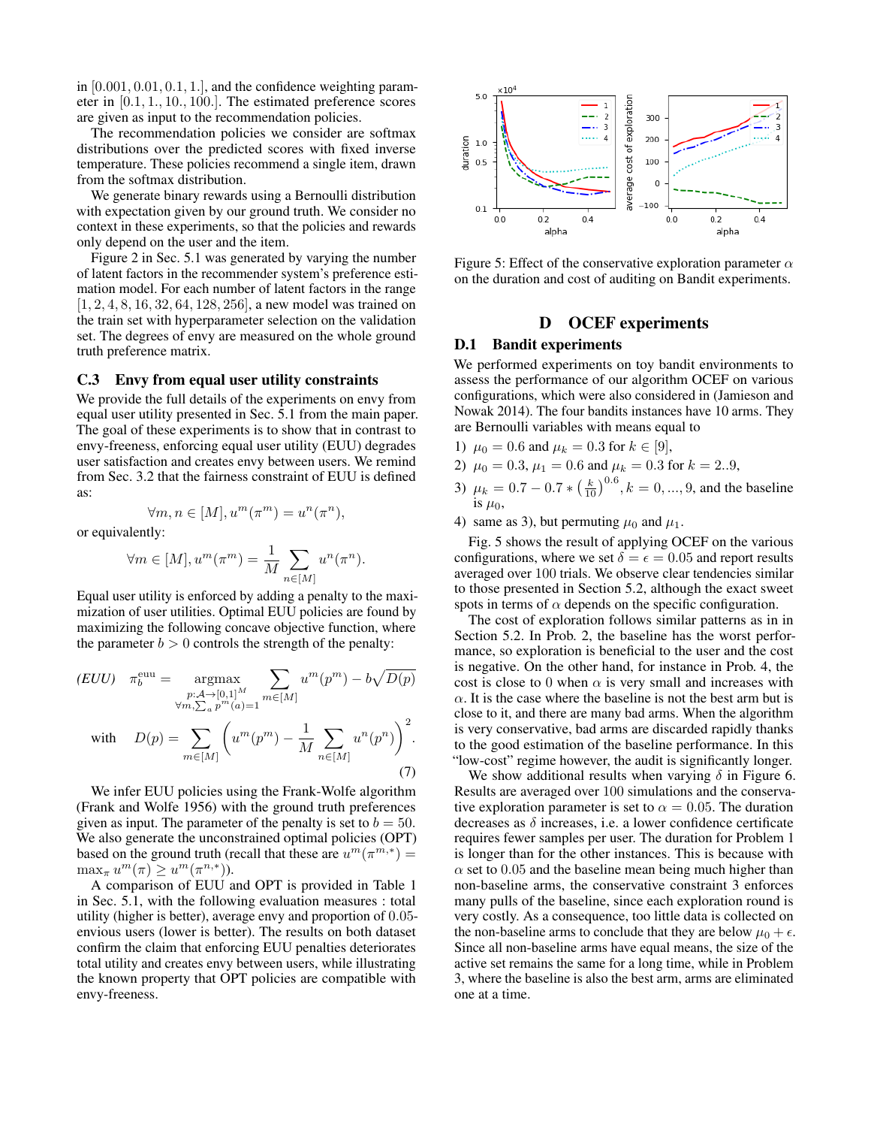in  $[0.001, 0.01, 0.1, 1.]$ , and the confidence weighting parameter in [0.1, 1., 10., 100.]. The estimated preference scores are given as input to the recommendation policies.

The recommendation policies we consider are softmax distributions over the predicted scores with fixed inverse temperature. These policies recommend a single item, drawn from the softmax distribution.

We generate binary rewards using a Bernoulli distribution with expectation given by our ground truth. We consider no context in these experiments, so that the policies and rewards only depend on the user and the item.

Figure 2 in Sec. 5.1 was generated by varying the number of latent factors in the recommender system's preference estimation model. For each number of latent factors in the range [1, 2, 4, 8, 16, 32, 64, 128, 256], a new model was trained on the train set with hyperparameter selection on the validation set. The degrees of envy are measured on the whole ground truth preference matrix.

#### C.3 Envy from equal user utility constraints

We provide the full details of the experiments on envy from equal user utility presented in Sec. 5.1 from the main paper. The goal of these experiments is to show that in contrast to envy-freeness, enforcing equal user utility (EUU) degrades user satisfaction and creates envy between users. We remind from Sec. 3.2 that the fairness constraint of EUU is defined as:

$$
\forall m, n \in [M], u^m(\pi^m) = u^n(\pi^n),
$$

or equivalently:

$$
\forall m \in [M], u^m(\pi^m) = \frac{1}{M} \sum_{n \in [M]} u^n(\pi^n).
$$

Equal user utility is enforced by adding a penalty to the maximization of user utilities. Optimal EUU policies are found by maximizing the following concave objective function, where the parameter  $b > 0$  controls the strength of the penalty:

$$
(EUU) \quad \pi_b^{\text{euu}} = \operatorname*{argmax}_{\substack{p:\mathcal{A}\to [0,1]^M \\ \forall m,\sum_a p^m(a)=1}} \sum_{m\in[M]} u^m(p^m) - b\sqrt{D(p)}
$$
  
with 
$$
D(p) = \sum_{m\in[M]} \left( u^m(p^m) - \frac{1}{M} \sum_{n\in[M]} u^n(p^n) \right)^2.
$$
 (7)

We infer EUU policies using the Frank-Wolfe algorithm (Frank and Wolfe 1956) with the ground truth preferences given as input. The parameter of the penalty is set to  $b = 50$ . We also generate the unconstrained optimal policies (OPT) based on the ground truth (recall that these are  $u^m(\pi^{m,*}) =$  $\max_{\pi} u^m(\pi) \geq u^m(\pi^{n,*}).$ 

A comparison of EUU and OPT is provided in Table 1 in Sec. 5.1, with the following evaluation measures : total utility (higher is better), average envy and proportion of 0.05 envious users (lower is better). The results on both dataset confirm the claim that enforcing EUU penalties deteriorates total utility and creates envy between users, while illustrating the known property that OPT policies are compatible with envy-freeness.



Figure 5: Effect of the conservative exploration parameter  $\alpha$ on the duration and cost of auditing on Bandit experiments.

# D OCEF experiments

# D.1 Bandit experiments

We performed experiments on toy bandit environments to assess the performance of our algorithm OCEF on various configurations, which were also considered in (Jamieson and Nowak 2014). The four bandits instances have 10 arms. They are Bernoulli variables with means equal to

- 1)  $\mu_0 = 0.6$  and  $\mu_k = 0.3$  for  $k \in [9]$ ,
- 2)  $\mu_0 = 0.3, \mu_1 = 0.6$  and  $\mu_k = 0.3$  for  $k = 2..9$ ,
- 3)  $\mu_k = 0.7 0.7 * \left(\frac{k}{10}\right)^{0.6}, k = 0, ..., 9$ , and the baseline is  $\mu_0$ ,
- 4) same as 3), but permuting  $\mu_0$  and  $\mu_1$ .

Fig. 5 shows the result of applying OCEF on the various configurations, where we set  $\delta = \epsilon = 0.05$  and report results averaged over 100 trials. We observe clear tendencies similar to those presented in Section 5.2, although the exact sweet spots in terms of  $\alpha$  depends on the specific configuration.

The cost of exploration follows similar patterns as in in Section 5.2. In Prob. 2, the baseline has the worst performance, so exploration is beneficial to the user and the cost is negative. On the other hand, for instance in Prob. 4, the cost is close to 0 when  $\alpha$  is very small and increases with  $\alpha$ . It is the case where the baseline is not the best arm but is close to it, and there are many bad arms. When the algorithm is very conservative, bad arms are discarded rapidly thanks to the good estimation of the baseline performance. In this "low-cost" regime however, the audit is significantly longer.

We show additional results when varying  $\delta$  in Figure 6. Results are averaged over 100 simulations and the conservative exploration parameter is set to  $\alpha = 0.05$ . The duration decreases as  $\delta$  increases, i.e. a lower confidence certificate requires fewer samples per user. The duration for Problem 1 is longer than for the other instances. This is because with  $\alpha$  set to 0.05 and the baseline mean being much higher than non-baseline arms, the conservative constraint 3 enforces many pulls of the baseline, since each exploration round is very costly. As a consequence, too little data is collected on the non-baseline arms to conclude that they are below  $\mu_0 + \epsilon$ . Since all non-baseline arms have equal means, the size of the active set remains the same for a long time, while in Problem 3, where the baseline is also the best arm, arms are eliminated one at a time.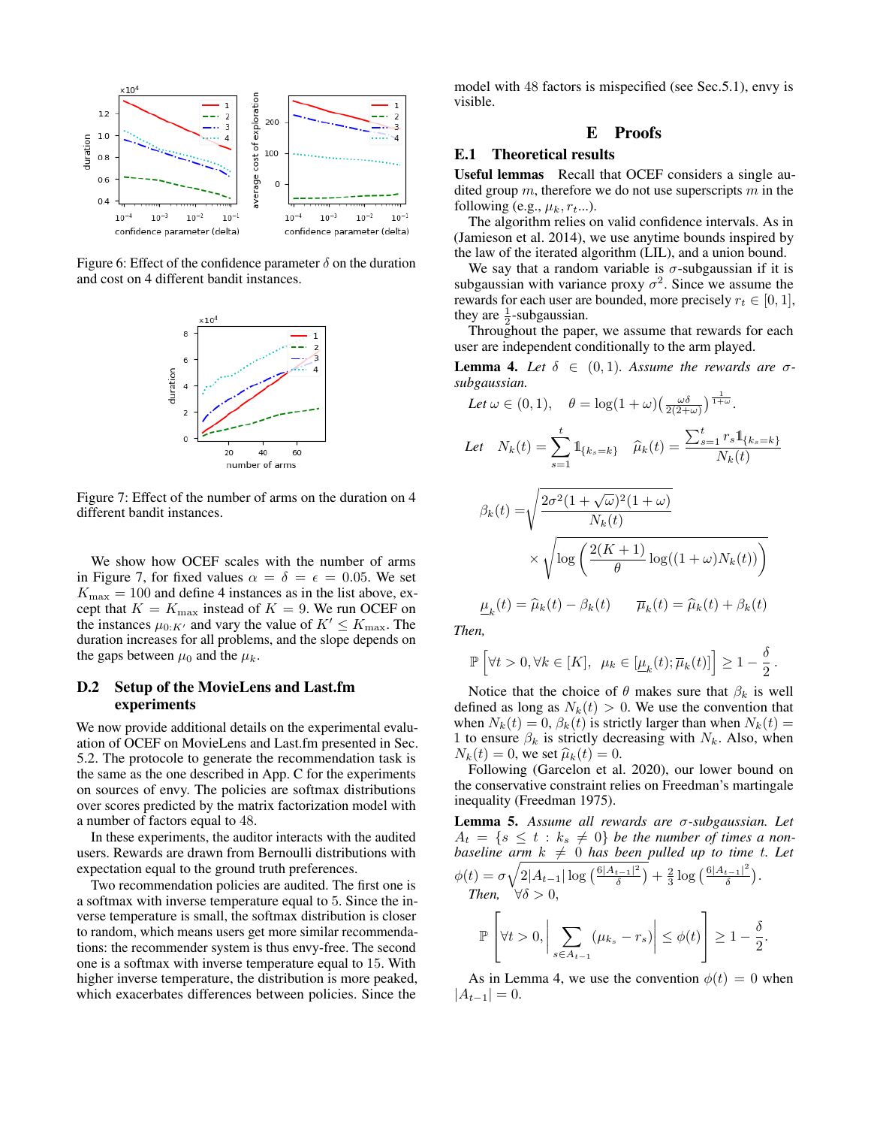

Figure 6: Effect of the confidence parameter  $\delta$  on the duration and cost on 4 different bandit instances.



Figure 7: Effect of the number of arms on the duration on 4 different bandit instances.

We show how OCEF scales with the number of arms in Figure 7, for fixed values  $\alpha = \delta = \epsilon = 0.05$ . We set  $K_{\text{max}} = 100$  and define 4 instances as in the list above, except that  $K = K_{\text{max}}$  instead of  $K = 9$ . We run OCEF on the instances  $\mu_{0:K'}$  and vary the value of  $K' \leq K_{\text{max}}$ . The duration increases for all problems, and the slope depends on the gaps between  $\mu_0$  and the  $\mu_k$ .

# D.2 Setup of the MovieLens and Last.fm experiments

We now provide additional details on the experimental evaluation of OCEF on MovieLens and Last.fm presented in Sec. 5.2. The protocole to generate the recommendation task is the same as the one described in App. C for the experiments on sources of envy. The policies are softmax distributions over scores predicted by the matrix factorization model with a number of factors equal to 48.

In these experiments, the auditor interacts with the audited users. Rewards are drawn from Bernoulli distributions with expectation equal to the ground truth preferences.

Two recommendation policies are audited. The first one is a softmax with inverse temperature equal to 5. Since the inverse temperature is small, the softmax distribution is closer to random, which means users get more similar recommendations: the recommender system is thus envy-free. The second one is a softmax with inverse temperature equal to 15. With higher inverse temperature, the distribution is more peaked, which exacerbates differences between policies. Since the

model with 48 factors is mispecified (see Sec.5.1), envy is visible.

# E Proofs

# E.1 Theoretical results

Useful lemmas Recall that OCEF considers a single audited group  $m$ , therefore we do not use superscripts  $m$  in the following (e.g.,  $\mu_k$ ,  $r_{t}$ ...).

The algorithm relies on valid confidence intervals. As in (Jamieson et al. 2014), we use anytime bounds inspired by the law of the iterated algorithm (LIL), and a union bound.

We say that a random variable is  $\sigma$ -subgaussian if it is subgaussian with variance proxy  $\sigma^2$ . Since we assume the rewards for each user are bounded, more precisely  $r_t \in [0, 1]$ , they are  $\frac{1}{2}$ -subgaussian.

 $2^{\circ}$  are  $2^{\circ}$ -subgaussian.<br>Throughout the paper, we assume that rewards for each user are independent conditionally to the arm played.

**Lemma 4.** Let  $\delta \in (0,1)$ . Assume the rewards are  $\sigma$ *subgaussian.*

Let 
$$
\omega \in (0, 1)
$$
,  $\theta = \log(1 + \omega) \left(\frac{\omega \delta}{2(2+\omega)}\right)^{\frac{1}{1+\omega}}$ .  
\nLet  $N_k(t) = \sum_{s=1}^t \mathbb{1}_{\{k_s = k\}}$   $\widehat{\mu}_k(t) = \frac{\sum_{s=1}^t r_s \mathbb{1}_{\{k_s = k\}}}{N_k(t)}$   
\n
$$
\beta_k(t) = \sqrt{\frac{2\sigma^2 (1 + \sqrt{\omega})^2 (1 + \omega)}{N_k(t)}}
$$
\n
$$
\times \sqrt{\log \left(\frac{2(K+1)}{\theta} \log((1+\omega)N_k(t))\right)}
$$
\n
$$
\underline{\mu}_k(t) = \widehat{\mu}_k(t) - \beta_k(t) \qquad \overline{\mu}_k(t) = \widehat{\mu}_k(t) + \beta_k(t)
$$

*Then,*

$$
\mathbb{P}\left[\forall t>0,\forall k\in[K],\ \mu_k\in[\underline{\mu}_k(t);\overline{\mu}_k(t)]\right]\geq 1-\frac{\delta}{2}.
$$

Notice that the choice of  $\theta$  makes sure that  $\beta_k$  is well defined as long as  $N_k(t) > 0$ . We use the convention that when  $N_k(t) = 0$ ,  $\beta_k(t)$  is strictly larger than when  $N_k(t) =$ 1 to ensure  $\beta_k$  is strictly decreasing with  $N_k$ . Also, when  $N_k(t) = 0$ , we set  $\widehat{\mu}_k(t) = 0$ .

Following (Garcelon et al. 2020), our lower bound on the conservative constraint relies on Freedman's martingale inequality (Freedman 1975).

Lemma 5. *Assume all rewards are* σ*-subgaussian. Let*  $A_t = \{s \leq t : k_s \neq 0\}$  be the number of times a non*baseline arm*  $k \neq 0$  *has been pulled up to time t. Let*  $\phi(t) = \sigma \sqrt{2|A_{t-1}| \log \left(\frac{6|A_{t-1}|^2}{\delta}\right)}$  $\frac{t-1|^2}{\delta}$ ) +  $\frac{2}{3}$  log  $\left(\frac{6|A_{t-1}|^2}{\delta}\right)$  $rac{t-1|^{2}}{\delta}$ ). *Then,*  $\forall \delta > 0$ ,  $\overline{\phantom{a}}$ 

$$
\mathbb{P}\left[\forall t > 0, \left|\sum_{s \in A_{t-1}} (\mu_{k_s} - r_s)\right| \leq \phi(t)\right] \geq 1 - \frac{\delta}{2}.
$$

As in Lemma 4, we use the convention  $\phi(t) = 0$  when  $|A_{t-1}| = 0.$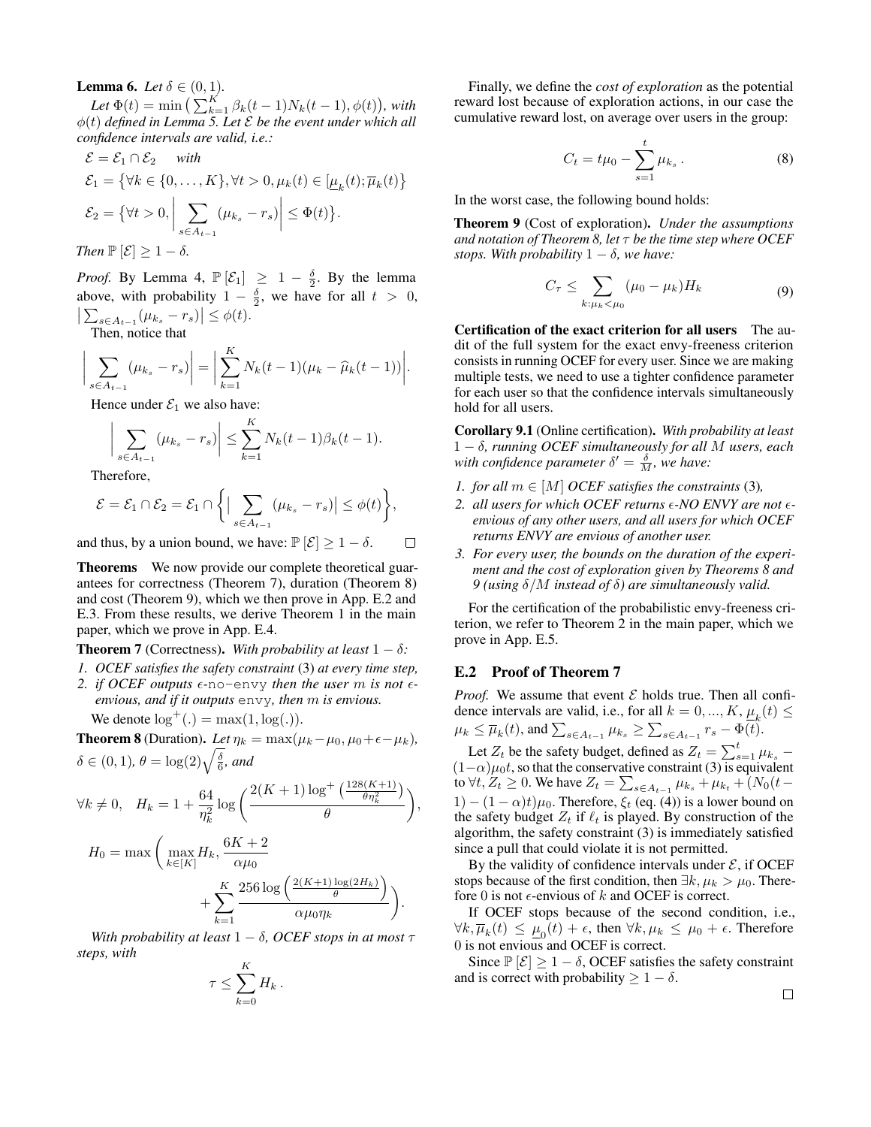**Lemma 6.** *Let*  $\delta \in (0, 1)$ *.* 

*Let*  $\Phi(t) = \min \left( \sum_{k=1}^{K} \beta_k(t-1) N_k(t-1), \phi(t) \right)$ , with  $\phi(t)$  *defined in Lemma 5. Let*  $\mathcal E$  *be the event under which all confidence intervals are valid, i.e.:*

$$
\mathcal{E} = \mathcal{E}_1 \cap \mathcal{E}_2 \quad \text{with}
$$
\n
$$
\mathcal{E}_1 = \{ \forall k \in \{0, \dots, K\}, \forall t > 0, \mu_k(t) \in [\underline{\mu}_k(t); \overline{\mu}_k(t)] \}
$$
\n
$$
\mathcal{E}_2 = \{ \forall t > 0, \left| \sum_{s \in A_{t-1}} (\mu_{k_s} - r_s) \right| \leq \Phi(t) \}.
$$
\nThen  $\mathbb{P}[\mathcal{E}] \geq 1 - \delta$ .

*Proof.* By Lemma 4,  $\mathbb{P}[\mathcal{E}_1] \geq 1 - \frac{\delta}{2}$ . By the lemma above, with probability  $1 - \frac{\delta}{2}$ , we have for all  $t > 0$ ,  $\left| \sum_{s \in A_{t-1}} (\mu_{k_s} - r_s) \right| \leq \phi(t).$ 

Then, notice that

$$
\bigg| \sum_{s \in A_{t-1}} (\mu_{k_s} - r_s) \bigg| = \bigg| \sum_{k=1}^K N_k(t-1)(\mu_k - \widehat{\mu}_k(t-1)) \bigg|.
$$

Hence under  $\mathcal{E}_1$  we also have:

$$
\bigg|\sum_{s\in A_{t-1}}(\mu_{k_s}-r_s)\bigg|\leq \sum_{k=1}^KN_k(t-1)\beta_k(t-1).
$$

Therefore,

$$
\mathcal{E} = \mathcal{E}_1 \cap \mathcal{E}_2 = \mathcal{E}_1 \cap \left\{ \Big| \sum_{s \in A_{t-1}} (\mu_{k_s} - r_s) \Big| \leq \phi(t) \right\},\
$$

and thus, by a union bound, we have:  $\mathbb{P}[\mathcal{E}] \geq 1 - \delta$ .  $\Box$ 

Theorems We now provide our complete theoretical guarantees for correctness (Theorem 7), duration (Theorem 8) and cost (Theorem 9), which we then prove in App. E.2 and E.3. From these results, we derive Theorem 1 in the main paper, which we prove in App. E.4.

**Theorem 7** (Correctness). With probability at least  $1 - \delta$ :

- *1. OCEF satisfies the safety constraint* (3) *at every time step,*
- 2. *if OCEF outputs*  $\epsilon$ -no-envy *then the user* m *is not*  $\epsilon$ *envious, and if it outputs* envy*, then* m *is envious.*
	- We denote  $\log^+(\cdot) = \max(1, \log(\cdot)).$

**Theorem 8** (Duration). Let  $\eta_k = \max(\mu_k - \mu_0, \mu_0 + \epsilon - \mu_k)$ ,  $\delta \in (0,1)$ ,  $\theta = \log(2) \sqrt{\frac{\delta}{6}}$ *, and* 

$$
\forall k \neq 0, \quad H_k = 1 + \frac{64}{\eta_k^2} \log \left( \frac{2(K+1) \log^+ \left( \frac{128(K+1)}{\theta \eta_k^2} \right)}{\theta} \right),
$$

$$
H_0 = \max \left( \max_{k \in [K]} H_k, \frac{6K+2}{\alpha \mu_0} + \sum_{k=1}^K \frac{256 \log \left( \frac{2(K+1) \log(2H_k)}{\theta} \right)}{\alpha \mu_0 \eta_k} \right).
$$

*With probability at least*  $1 - \delta$ *, OCEF stops in at most*  $\tau$ *steps, with*  $\overline{V}$ 

$$
\tau \leq \sum_{k=0}^{\mathbf{n}} H_k.
$$

Finally, we define the *cost of exploration* as the potential reward lost because of exploration actions, in our case the cumulative reward lost, on average over users in the group:

$$
C_t = t\mu_0 - \sum_{s=1}^t \mu_{k_s} \,. \tag{8}
$$

In the worst case, the following bound holds:

Theorem 9 (Cost of exploration). *Under the assumptions and notation of Theorem 8, let* τ *be the time step where OCEF stops. With probability*  $1 - \delta$ *, we have:* 

$$
C_{\tau} \leq \sum_{k:\mu_k < \mu_0} (\mu_0 - \mu_k) H_k \tag{9}
$$

Certification of the exact criterion for all users The audit of the full system for the exact envy-freeness criterion consists in running OCEF for every user. Since we are making multiple tests, we need to use a tighter confidence parameter for each user so that the confidence intervals simultaneously hold for all users.

Corollary 9.1 (Online certification). *With probability at least* 1 − δ*, running OCEF simultaneously for all* M *users, each* with confidence parameter  $\delta' = \frac{\delta}{M}$ , we have:

- *1. for all*  $m \in [M]$  *OCEF satisfies the constraints* (3)*,*
- *2. all users for which OCEF returns -NO ENVY are not envious of any other users, and all users for which OCEF returns ENVY are envious of another user.*
- *3. For every user, the bounds on the duration of the experiment and the cost of exploration given by Theorems 8 and 9 (using* δ/M *instead of* δ*) are simultaneously valid.*

For the certification of the probabilistic envy-freeness criterion, we refer to Theorem 2 in the main paper, which we prove in App. E.5.

#### E.2 Proof of Theorem 7

*Proof.* We assume that event  $\mathcal E$  holds true. Then all confidence intervals are valid, i.e., for all  $k = 0, ..., K$ ,  $\underline{\mu}_k(t) \leq$  $\mu_k \leq \overline{\mu}_k(t)$ , and  $\sum_{s \in A_{t-1}} \mu_{k_s} \geq \sum_{s \in A_{t-1}} r_s - \Phi(t)$ .

Let  $Z_t$  be the safety budget, defined as  $Z_t = \sum_{s=1}^t \mu_{k_s}$  –  $(1-\alpha)\mu_0 t$ , so that the conservative constraint (3) is equivalent to  $\forall t, Z_t \geq 0$ . We have  $Z_t = \sum_{s \in A_{t-1}} \mu_{k_s} + \mu_{k_t} + (N_0(t - t)$  $1 - (1 - \alpha)t)\mu_0$ . Therefore,  $\xi_t$  (eq. (4)) is a lower bound on the safety budget  $Z_t$  if  $\ell_t$  is played. By construction of the algorithm, the safety constraint (3) is immediately satisfied since a pull that could violate it is not permitted.

By the validity of confidence intervals under  $\mathcal{E}$ , if OCEF stops because of the first condition, then  $\exists k, \mu_k > \mu_0$ . Therefore 0 is not  $\epsilon$ -envious of k and OCEF is correct.

If OCEF stops because of the second condition, i.e.,  $\forall k, \overline{\mu}_k(t) \leq \underline{\mu}_0(t) + \epsilon$ , then  $\forall k, \mu_k \leq \mu_0 + \epsilon$ . Therefore 0 is not envious and OCEF is correct.

Since  $\mathbb{P}[\mathcal{E}] \geq 1 - \delta$ , OCEF satisfies the safety constraint and is correct with probability  $\geq 1 - \delta$ .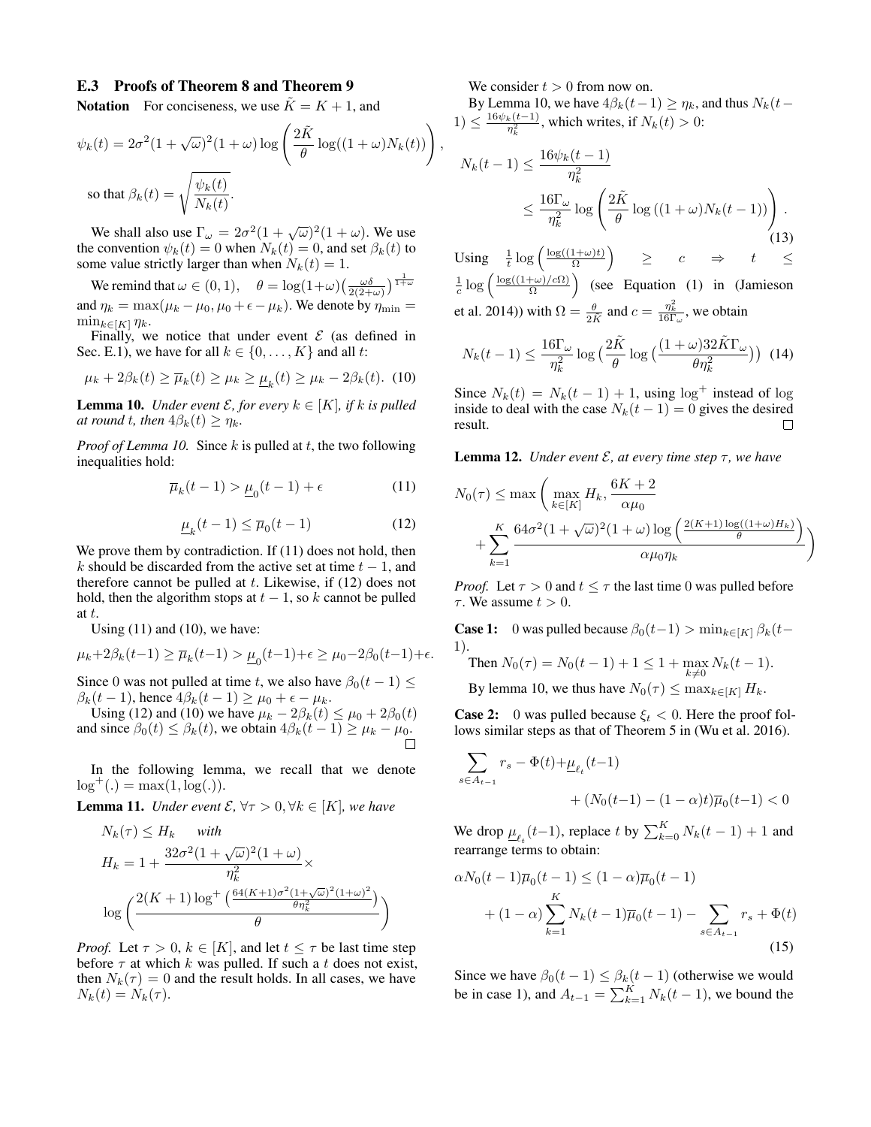#### E.3 Proofs of Theorem 8 and Theorem 9

**Notation** For conciseness, we use  $\tilde{K} = K + 1$ , and

$$
\psi_k(t) = 2\sigma^2 (1 + \sqrt{\omega})^2 (1 + \omega) \log \left( \frac{2\tilde{K}}{\theta} \log((1 + \omega)N_k(t)) \right)
$$
  
so that  $\beta_k(t) = \sqrt{\frac{\psi_k(t)}{N_k(t)}}$ .

We shall also use  $\Gamma_{\omega} = 2\sigma^2(1 + \sqrt{\omega})^2(1 + \omega)$ . We use the convention  $\psi_k(t) = 0$  when  $N_k(t) = 0$ , and set  $\beta_k(t)$  to some value strictly larger than when  $N_k(t) = 1$ .

We remind that  $\omega \in (0, 1)$ ,  $\theta = \log(1 + \omega) \left( \frac{\omega \delta}{2(2 + \omega)} \right)^{\frac{1}{1 + \omega}}$ and  $\eta_k = \max(\mu_k - \mu_0, \mu_0 + \epsilon - \mu_k)$ . We denote by  $\eta_{\min} =$  $\min_{k\in[K]} \eta_k$ .

Finally, we notice that under event  $\mathcal E$  (as defined in Sec. E.1), we have for all  $k \in \{0, \ldots, K\}$  and all t:

$$
\mu_k + 2\beta_k(t) \ge \overline{\mu}_k(t) \ge \mu_k \ge \underline{\mu}_k(t) \ge \mu_k - 2\beta_k(t). \tag{10}
$$

**Lemma 10.** *Under event*  $\mathcal{E}$ *, for every*  $k \in [K]$ *, if* k is pulled *at round t, then*  $4\beta_k(t) \geq \eta_k$ .

*Proof of Lemma 10.* Since k is pulled at t, the two following inequalities hold:

$$
\overline{\mu}_k(t-1) > \underline{\mu}_0(t-1) + \epsilon \tag{11}
$$

$$
\underline{\mu}_k(t-1) \le \overline{\mu}_0(t-1) \tag{12}
$$

We prove them by contradiction. If (11) does not hold, then k should be discarded from the active set at time  $t - 1$ , and therefore cannot be pulled at  $t$ . Likewise, if (12) does not hold, then the algorithm stops at  $t - 1$ , so k cannot be pulled at t.

Using  $(11)$  and  $(10)$ , we have:

$$
\mu_k + 2\beta_k(t-1) \ge \overline{\mu}_k(t-1) > \underline{\mu}_0(t-1) + \epsilon \ge \mu_0 - 2\beta_0(t-1) + \epsilon.
$$

Since 0 was not pulled at time t, we also have  $\beta_0(t-1) \leq$  $\beta_k(t-1)$ , hence  $4\beta_k(t-1) \geq \mu_0 + \epsilon - \mu_k$ .

Using (12) and (10) we have  $\mu_k - 2\beta_k(t) \le \mu_0 + 2\beta_0(t)$ and since  $\beta_0(t) \leq \beta_k(t)$ , we obtain  $4\beta_k(t-1) \geq \mu_k - \mu_0$ .

In the following lemma, we recall that we denote  $log^+(.) = max(1, log(.)).$ 

**Lemma 11.** *Under event*  $\mathcal{E}, \forall \tau > 0, \forall k \in [K]$ *, we have* 

$$
N_k(\tau) \le H_k \quad \text{with}
$$
  
\n
$$
H_k = 1 + \frac{32\sigma^2 (1 + \sqrt{\omega})^2 (1 + \omega)}{\eta_k^2} \times \log\left(\frac{2(K+1)\log^+\left(\frac{64(K+1)\sigma^2 (1 + \sqrt{\omega})^2 (1 + \omega)^2}{\theta \eta_k^2}\right)}{\theta}\right)
$$

*Proof.* Let  $\tau > 0$ ,  $k \in [K]$ , and let  $t \leq \tau$  be last time step before  $\tau$  at which k was pulled. If such a t does not exist, then  $N_k(\tau) = 0$  and the result holds. In all cases, we have  $N_k(t) = N_k(\tau)$ .

We consider  $t > 0$  from now on.

,

By Lemma 10, we have  $4\beta_k(t-1) \geq \eta_k$ , and thus  $N_k(t-1)$  $1) \leq \frac{16\psi_k(t-1)}{\eta_k^2}$ , which writes, if  $N_k(t) > 0$ :

$$
N_k(t-1) \le \frac{16\psi_k(t-1)}{\eta_k^2}
$$
  
 
$$
\le \frac{16\Gamma_\omega}{\eta_k^2} \log \left(\frac{2\tilde{K}}{\theta} \log \left((1+\omega)N_k(t-1)\right)\right).
$$
 (13)

Using  $\frac{1}{t} \log \left( \frac{\log((1+\omega)t)}{\Omega} \right)$  $\left(\frac{(1+\omega)t}{\Omega}\right)$   $\geq$   $c$   $\Rightarrow$   $t$   $\leq$  $\frac{1}{c} \log \left( \frac{\log((1+\omega)/c\Omega)}{\Omega} \right)$  $\left(\frac{(\mu + \omega)}{2}\right)$  (see Equation (1) in (Jamieson et al. 2014)) with  $\Omega = \frac{\theta}{2\tilde{K}}$  and  $c = \frac{\eta_k^2}{16\Gamma_{\omega}}$ , we obtain

$$
N_k(t-1) \le \frac{16\Gamma_\omega}{\eta_k^2} \log\left(\frac{2\tilde{K}}{\theta} \log\left(\frac{(1+\omega)32\tilde{K}\Gamma_\omega}{\theta\eta_k^2}\right)\right)
$$
(14)

Since  $N_k(t) = N_k(t-1) + 1$ , using  $\log^+$  instead of  $\log$ inside to deal with the case  $N_k(t-1) = 0$  gives the desired result.  $\Box$ 

**Lemma 12.** *Under event*  $\mathcal{E}$ *, at every time step*  $\tau$ *, we have* 

$$
N_0(\tau) \le \max\left(\max_{k \in [K]} H_k, \frac{6K + 2}{\alpha \mu_0} + \sum_{k=1}^K \frac{64\sigma^2 (1 + \sqrt{\omega})^2 (1 + \omega) \log\left(\frac{2(K+1)\log((1+\omega)H_k)}{\theta}\right)}{\alpha \mu_0 \eta_k}\right)
$$

*Proof.* Let  $\tau > 0$  and  $t \leq \tau$  the last time 0 was pulled before  $\tau$ . We assume  $t > 0$ .

**Case 1:** 0 was pulled because  $\beta_0(t-1) > \min_{k \in [K]} \beta_k(t-1)$ 1).

Then  $N_0(\tau) = N_0(t-1) + 1 \leq 1 + \max_{k \neq 0} N_k(t-1)$ . By lemma 10, we thus have  $N_0(\tau) \leq \max_{k \in [K]} H_k$ .

**Case 2:** 0 was pulled because  $\xi_t < 0$ . Here the proof follows similar steps as that of Theorem 5 in (Wu et al. 2016).

$$
\sum_{s \in A_{t-1}} r_s - \Phi(t) + \underline{\mu}_{\ell_t}(t-1) + (N_0(t-1) - (1-\alpha)t)\overline{\mu}_0(t-1) < 0
$$

We drop  $\underline{\mu}_{\ell_t}(t-1)$ , replace t by  $\sum_{k=0}^K N_k(t-1) + 1$  and rearrange terms to obtain:

$$
\alpha N_0(t-1)\overline{\mu}_0(t-1) \le (1-\alpha)\overline{\mu}_0(t-1)
$$
  
+  $(1-\alpha)\sum_{k=1}^K N_k(t-1)\overline{\mu}_0(t-1) - \sum_{s \in A_{t-1}} r_s + \Phi(t)$  (15)

Since we have  $\beta_0(t-1) \leq \beta_k(t-1)$  (otherwise we would be in case 1), and  $A_{t-1} = \sum_{k=1}^{K} N_k(t-1)$ , we bound the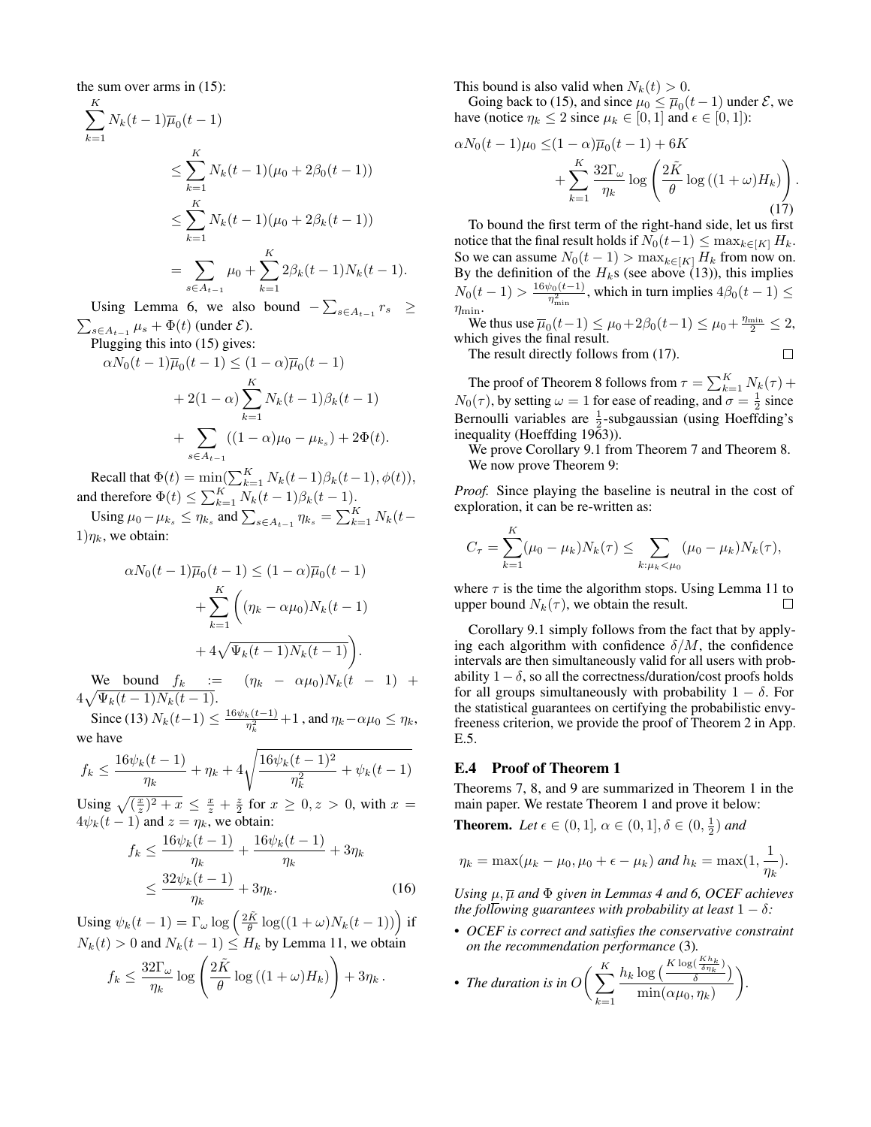the sum over arms in (15):

$$
\sum_{k=1}^{K} N_k(t-1)\overline{\mu}_0(t-1)
$$
\n
$$
\leq \sum_{k=1}^{K} N_k(t-1)(\mu_0 + 2\beta_0(t-1))
$$
\n
$$
\leq \sum_{k=1}^{K} N_k(t-1)(\mu_0 + 2\beta_k(t-1))
$$
\n
$$
= \sum_{s \in A_{t-1}} \mu_0 + \sum_{k=1}^{K} 2\beta_k(t-1)N_k(t-1).
$$

Using Lemma 6, we also bound  $-\sum_{s \in A_{t-1}} r_s \ge$  $\sum_{s \in A_{t-1}} \mu_s + \Phi(t)$  (under  $\mathcal{E}$ ).

Plugging this into (15) gives:

$$
\alpha N_0(t-1)\overline{\mu}_0(t-1) \le (1-\alpha)\overline{\mu}_0(t-1)
$$
  
+2(1-\alpha)\sum\_{k=1}^K N\_k(t-1)\beta\_k(t-1)  
+ 
$$
\sum_{s \in A_{t-1}} ((1-\alpha)\mu_0 - \mu_{k_s}) + 2\Phi(t).
$$

Recall that  $\Phi(t) = \min(\sum_{k=1}^{K} N_k(t-1)\beta_k(t-1), \phi(t)),$ and therefore  $\Phi(t) \le \sum_{k=1}^K N_k(t-1)\beta_k(t-1)$ .

Using  $\mu_0 - \mu_{k_s} \le \eta_{k_s}$  and  $\sum_{s \in A_{t-1}} \eta_{k_s} = \sum_{k=1}^K N_k(t 1)\eta_k$ , we obtain:

$$
\alpha N_0(t-1)\overline{\mu}_0(t-1) \le (1-\alpha)\overline{\mu}_0(t-1)
$$

$$
+ \sum_{k=1}^K \left( (\eta_k - \alpha \mu_0) N_k(t-1) + 4\sqrt{\Psi_k(t-1)} N_k(t-1) \right).
$$

We bound  $f_k$  :=  $(\eta_k - \alpha \mu_0) N_k(t - 1)$  +  $4\sqrt{\Psi_k(t-1)N_k(t-1)}$ .

Since (13)  $N_k(t-1) \leq \frac{16\psi_k(t-1)}{\eta_k^2} + 1$ , and  $\eta_k - \alpha\mu_0 \leq \eta_k$ , we have

$$
f_k \le \frac{16\psi_k(t-1)}{\eta_k} + \eta_k + 4\sqrt{\frac{16\psi_k(t-1)^2}{\eta_k^2} + \psi_k(t-1)}
$$

Using  $\sqrt{\frac{x}{z}}^2 + x \leq \frac{x}{z} + \frac{z}{2}$  for  $x \geq 0, z > 0$ , with  $x =$  $4\psi_k(t-1)$  and  $z = \eta_k$ , we obtain:

$$
f_k \le \frac{16\psi_k(t-1)}{\eta_k} + \frac{16\psi_k(t-1)}{\eta_k} + 3\eta_k
$$
  
 
$$
\le \frac{32\psi_k(t-1)}{\eta_k} + 3\eta_k.
$$
 (16)

Using  $\psi_k(t-1) = \Gamma_\omega \log \left( \frac{2\tilde{K}}{\theta} \log((1+\omega)N_k(t-1)) \right)$  if  $N_k(t) > 0$  and  $N_k(t-1) \leq H_k$  by Lemma 11, we obtain

$$
f_k \leq \frac{32\Gamma_\omega}{\eta_k} \log \left( \frac{2\tilde{K}}{\theta} \log \left( (1+\omega)H_k \right) \right) + 3\eta_k.
$$

This bound is also valid when  $N_k(t) > 0$ .

Going back to (15), and since  $\mu_0 \leq \overline{\mu}_0(t-1)$  under  $\mathcal{E}$ , we have (notice  $\eta_k \leq 2$  since  $\mu_k \in [0, 1]$  and  $\epsilon \in [0, 1]$ ):

$$
\alpha N_0(t-1)\mu_0 \leq (1-\alpha)\overline{\mu}_0(t-1) + 6K
$$

$$
+ \sum_{k=1}^K \frac{32\Gamma_\omega}{\eta_k} \log\left(\frac{2\tilde{K}}{\theta} \log((1+\omega)H_k)\right).
$$
(17)

To bound the first term of the right-hand side, let us first notice that the final result holds if  $N_0(t-1) \leq \max_{k \in [K]} H_k$ . So we can assume  $N_0(t-1) > \max_{k \in [K]} H_k$  from now on. By the definition of the  $H_k$ s (see above (13)), this implies  $N_0(t-1) > \frac{16\psi_0(t-1)}{\eta_{\min}^2}$ , which in turn implies  $4\beta_0(t-1) \le$  $\eta_{\min}$ .

We thus use  $\overline{\mu}_0(t-1) \leq \mu_0 + 2\beta_0(t-1) \leq \mu_0 + \frac{\eta_{\min}}{2} \leq 2$ , which gives the final result.

 $\Box$ 

The result directly follows from (17).

The proof of Theorem 8 follows from  $\tau = \sum_{k=1}^{K} N_k(\tau) +$  $N_0(\tau)$ , by setting  $\omega = 1$  for ease of reading, and  $\sigma = \frac{1}{2}$  since Bernoulli variables are  $\frac{1}{2}$ -subgaussian (using Hoeffding's inequality (Hoeffding 1963)).

We prove Corollary 9.1 from Theorem 7 and Theorem 8. We now prove Theorem 9:

*Proof.* Since playing the baseline is neutral in the cost of exploration, it can be re-written as:

$$
C_{\tau} = \sum_{k=1}^{K} (\mu_0 - \mu_k) N_k(\tau) \leq \sum_{k:\mu_k < \mu_0} (\mu_0 - \mu_k) N_k(\tau),
$$

where  $\tau$  is the time the algorithm stops. Using Lemma 11 to upper bound  $N_k(\tau)$ , we obtain the result.  $\Box$ 

Corollary 9.1 simply follows from the fact that by applying each algorithm with confidence  $\delta/M$ , the confidence intervals are then simultaneously valid for all users with probability  $1 - \delta$ , so all the correctness/duration/cost proofs holds for all groups simultaneously with probability  $1 - \delta$ . For the statistical guarantees on certifying the probabilistic envyfreeness criterion, we provide the proof of Theorem 2 in App. E.5.

#### E.4 Proof of Theorem 1

Theorems 7, 8, and 9 are summarized in Theorem 1 in the main paper. We restate Theorem 1 and prove it below:

**Theorem.** Let  $\epsilon \in (0, 1], \alpha \in (0, 1], \delta \in (0, \frac{1}{2})$  and

$$
\eta_k = \max(\mu_k - \mu_0, \mu_0 + \epsilon - \mu_k) \text{ and } h_k = \max(1, \frac{1}{\eta_k}).
$$

*Using*  $\mu$ ,  $\overline{\mu}$  *and*  $\Phi$  *given in Lemmas* 4 *and* 6, *OCEF achieves the following guarantees with probability at least*  $1 - \delta$ *:* 

• *OCEF is correct and satisfies the conservative constraint on the recommendation performance* (3)*.*

• The duration is in 
$$
O\left(\sum_{k=1}^{K} \frac{h_k \log\left(\frac{K \log\left(\frac{K h_k}{\delta \eta_k}\right)}{\delta}\right)}{\min(\alpha \mu_0, \eta_k)}\right)
$$
.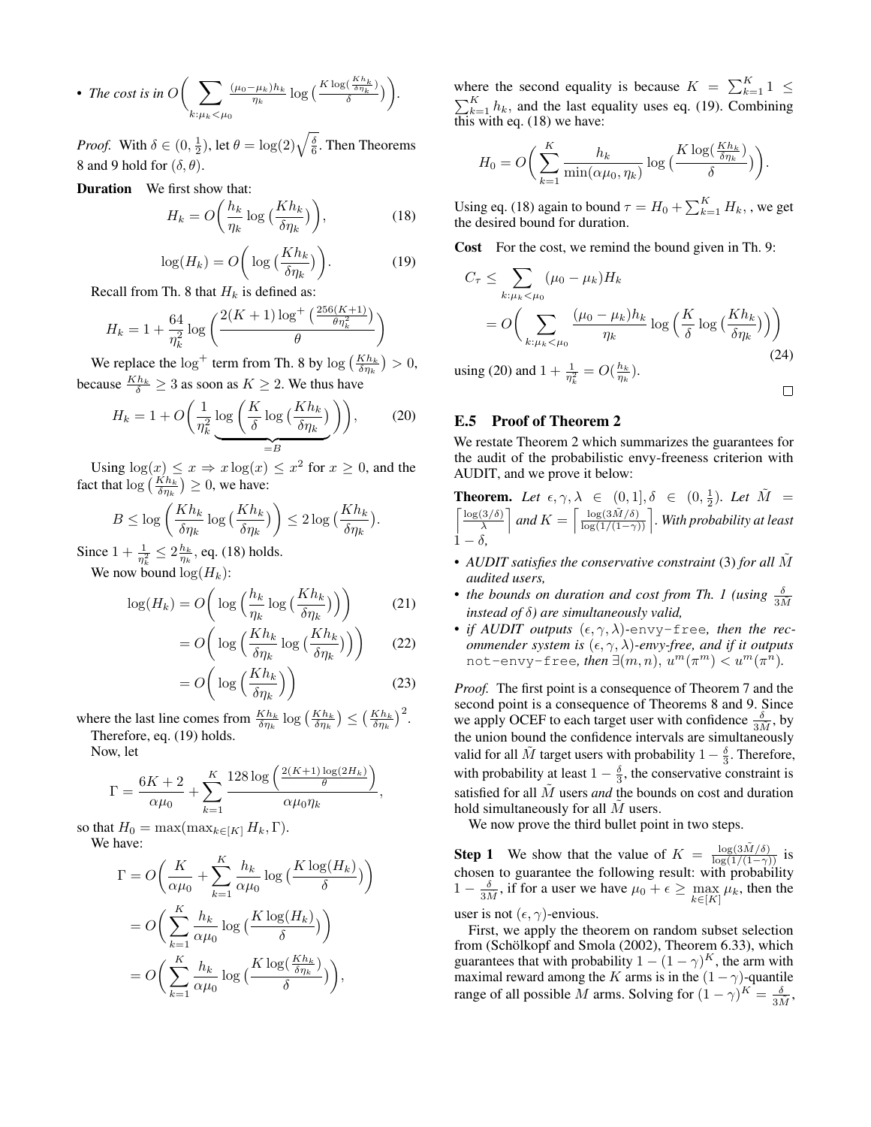• The cost is in 
$$
O\left(\sum_{k:\mu_k<\mu_0}\frac{(\mu_0-\mu_k)h_k}{\eta_k}\log\left(\frac{K\log\left(\frac{Kh_k}{\delta\eta_k}\right)}{\delta}\right)\right).
$$

*Proof.* With  $\delta \in (0, \frac{1}{2})$ , let  $\theta = \log(2) \sqrt{\frac{\delta}{6}}$ . Then Theorems 8 and 9 hold for  $(\delta, \theta)$ .

Duration We first show that:

$$
H_k = O\left(\frac{h_k}{\eta_k} \log\left(\frac{Kh_k}{\delta \eta_k}\right)\right),\tag{18}
$$

$$
\log(H_k) = O\bigg(\log\big(\frac{Kh_k}{\delta\eta_k}\big)\bigg). \tag{19}
$$

Recall from Th. 8 that  $H_k$  is defined as:

$$
H_k = 1 + \frac{64}{\eta_k^2} \log \left( \frac{2(K+1) \log^+ \left( \frac{256(K+1)}{\theta \eta_k^2} \right)}{\theta} \right)
$$

We replace the  $\log^+$  term from Th. 8 by  $\log\left(\frac{Kh_k}{\delta\eta_k}\right) > 0$ , because  $\frac{Kh_k}{\delta} \geq 3$  as soon as  $K \geq 2$ . We thus have

$$
H_k = 1 + O\left(\frac{1}{\eta_k^2} \log\left(\frac{K}{\delta} \log\left(\frac{Kh_k}{\delta \eta_k}\right)\right)\right),\tag{20}
$$

Using  $\log(x) \leq x \Rightarrow x \log(x) \leq x^2$  for  $x \geq 0$ , and the fact that  $\log\left(\frac{Kh_k}{\delta\eta_k}\right) \geq 0$ , we have:

$$
B \le \log\left(\frac{Kh_k}{\delta \eta_k} \log\left(\frac{Kh_k}{\delta \eta_k}\right)\right) \le 2\log\left(\frac{Kh_k}{\delta \eta_k}\right)
$$

Since  $1 + \frac{1}{\eta_k^2} \leq 2 \frac{h_k}{\eta_k}$ , eq. (18) holds.

We now bound  $\log(H_k)$ :

$$
\log(H_k) = O\left(\log\left(\frac{h_k}{\eta_k}\log\left(\frac{Kh_k}{\delta\eta_k}\right)\right)\right) \tag{21}
$$

$$
= O\bigg(\log\Big(\frac{Kh_k}{\delta\eta_k}\log\Big(\frac{Kh_k}{\delta\eta_k}\Big)\Big)\bigg) \qquad (22)
$$

.

$$
=O\bigg(\log\Big(\frac{Kh_k}{\delta\eta_k}\Big)\bigg)\tag{23}
$$

where the last line comes from  $\frac{Kh_k}{\delta \eta_k} \log \left(\frac{Kh_k}{\delta \eta_k}\right) \leq \left(\frac{Kh_k}{\delta \eta_k}\right)^2$ . Therefore, eq. (19) holds.

Now, let

$$
\Gamma = \frac{6K + 2}{\alpha \mu_0} + \sum_{k=1}^{K} \frac{128 \log \left( \frac{2(K+1) \log(2H_k)}{\theta} \right)}{\alpha \mu_0 \eta_k},
$$

so that  $H_0 = \max(\max_{k \in [K]} H_k, \Gamma)$ . We have:

$$
\Gamma = O\left(\frac{K}{\alpha\mu_0} + \sum_{k=1}^K \frac{h_k}{\alpha\mu_0} \log\left(\frac{K \log(H_k)}{\delta}\right)\right)
$$

$$
= O\left(\sum_{k=1}^K \frac{h_k}{\alpha\mu_0} \log\left(\frac{K \log(H_k)}{\delta}\right)\right)
$$

$$
= O\left(\sum_{k=1}^K \frac{h_k}{\alpha\mu_0} \log\left(\frac{K \log\left(\frac{Kh_k}{\delta\eta_k}\right)}{\delta}\right)\right),
$$

where the second equality is because  $K = \sum_{k=1}^{K} 1 \leq$  $\sum_{k=1}^{K} h_k$ , and the last equality uses eq. (19). Combining this with eq.  $(18)$  we have:

$$
H_0 = O\bigg(\sum_{k=1}^K \frac{h_k}{\min(\alpha \mu_0, \eta_k)} \log\big(\frac{K \log(\frac{Kh_k}{\delta \eta_k})}{\delta}\big)\bigg).
$$

Using eq. (18) again to bound  $\tau = H_0 + \sum_{k=1}^{K} H_k$ , , we get the desired bound for duration.

Cost For the cost, we remind the bound given in Th. 9:

$$
C_{\tau} \leq \sum_{k:\mu_k < \mu_0} (\mu_0 - \mu_k) H_k
$$
\n
$$
= O\left(\sum_{k:\mu_k < \mu_0} \frac{(\mu_0 - \mu_k) h_k}{\eta_k} \log\left(\frac{K}{\delta} \log\left(\frac{Kh_k}{\delta \eta_k}\right)\right)\right)
$$
\n
$$
\text{sing (20) and } 1 + \frac{1}{\sqrt{2}} = O\left(\frac{h_k}{\sqrt{2}}\right) \tag{24}
$$

using (20) and  $1 + \frac{1}{\eta_k^2} = O(\frac{h_k}{\eta_k}).$ 

# $\Box$

# E.5 Proof of Theorem 2

We restate Theorem 2 which summarizes the guarantees for the audit of the probabilistic envy-freeness criterion with AUDIT, and we prove it below:

**Theorem.** Let 
$$
\epsilon, \gamma, \lambda \in (0, 1], \delta \in (0, \frac{1}{2})
$$
. Let  $\tilde{M} = \left[\frac{\log(3/\delta)}{\lambda}\right]$  and  $K = \left[\frac{\log(3\tilde{M}/\delta)}{\log(1/(1-\gamma))}\right]$ . With probability at least  $1-\delta$ ,

- *AUDIT satisfies the conservative constraint* (3) *for all*  $\tilde{M}$ *audited users,*
- *the bounds on duration and cost from Th. 1 (using*  $\frac{\delta}{3\tilde{M}}$ *instead of* δ*) are simultaneously valid,*
- *if AUDIT outputs*  $(\epsilon, \gamma, \lambda)$ -envy-free, then the rec*ommender system is*  $(\epsilon, \gamma, \lambda)$ *-envy-free, and if it outputs* not-envy-free, then  $\exists (m,n), \, u^m(\pi^m) < u^m(\pi^{\hat{n}})$ .

*Proof.* The first point is a consequence of Theorem 7 and the second point is a consequence of Theorems 8 and 9. Since we apply OCEF to each target user with confidence  $\frac{\delta}{3M}$ , by the union bound the confidence intervals are simultaneously valid for all  $\tilde{M}$  target users with probability  $1 - \frac{\delta}{3}$ . Therefore, with probability at least  $1 - \frac{\delta}{3}$ , the conservative constraint is satisfied for all  $\tilde{M}$  users *and* the bounds on cost and duration hold simultaneously for all  $M$  users.

We now prove the third bullet point in two steps.

**Step 1** We show that the value of  $K = \frac{\log(3\tilde{M}/\delta)}{\log(1/(1-\gamma))}$  is chosen to guarantee the following result: with probability  $1 - \frac{\delta}{3\tilde{M}}$ , if for a user we have  $\mu_0 + \epsilon \ge \max_{k \in [K]} \mu_k$ , then the

user is not  $(\epsilon, \gamma)$ -envious.

First, we apply the theorem on random subset selection from (Schölkopf and Smola (2002), Theorem 6.33), which guarantees that with probability  $1 - (1 - \gamma)^K$ , the arm with maximal reward among the K arms is in the  $(1 - \gamma)$ -quantile range of all possible M arms. Solving for  $(1 - \gamma)^K = \frac{\delta}{3M}$ ,